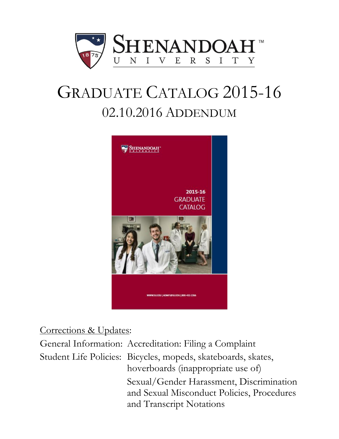

# GRADUATE CATALOG 2015-16 02.10.2016 ADDENDUM



# Corrections & Updates:

General Information: Accreditation: Filing a Complaint Student Life Policies: Bicycles, mopeds, skateboards, skates, hoverboards (inappropriate use of) Sexual/Gender Harassment, Discrimination and Sexual Misconduct Policies, Procedures and Transcript Notations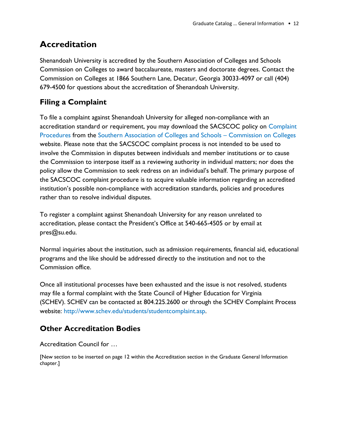# **Accreditation**

Shenandoah University is accredited by the Southern Association of Colleges and Schools Commission on Colleges to award baccalaureate, masters and doctorate degrees. Contact the Commission on Colleges at 1866 Southern Lane, Decatur, Georgia 30033-4097 or call (404) 679-4500 for questions about the accreditation of Shenandoah University.

## **Filing a Complaint**

To file a complaint against Shenandoah University for alleged non-compliance with an accreditation standard or requirement, you may download the SACSCOC policy on [Complaint](http://www.sacscoc.org/pdf/081705/complaintpolicy.pdf)  [Procedures](http://www.sacscoc.org/pdf/081705/complaintpolicy.pdf) from the [Southern Association of Colleges and Schools](http://www.sacscoc.org/) – Commission on Colleges website. Please note that the SACSCOC complaint process is not intended to be used to involve the Commission in disputes between individuals and member institutions or to cause the Commission to interpose itself as a reviewing authority in individual matters; nor does the policy allow the Commission to seek redress on an individual's behalf. The primary purpose of the SACSCOC complaint procedure is to acquire valuable information regarding an accredited institution's possible non-compliance with accreditation standards, policies and procedures rather than to resolve individual disputes.

To register a complaint against Shenandoah University for any reason unrelated to accreditation, please contact the President's Office at 540-665-4505 or by email at pres@su.edu.

Normal inquiries about the institution, such as admission requirements, financial aid, educational programs and the like should be addressed directly to the institution and not to the Commission office.

Once all institutional processes have been exhausted and the issue is not resolved, students may file a formal complaint with the State Council of Higher Education for Virginia (SCHEV). SCHEV can be contacted at [804.225.2600](tel:804.225.2600) or through the SCHEV Complaint Process website: [http://www.schev.edu/students/studentcomplaint.asp.](http://www.schev.edu/students/studentcomplaint.asp)

## **Other Accreditation Bodies**

## Accreditation Council for …

[New section to be inserted on page 12 within the Accreditation section in the Graduate General Information chapter.]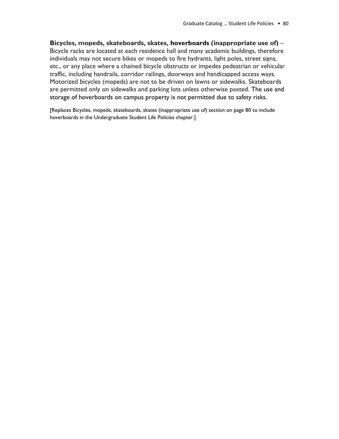## **Bicycles, mopeds, skateboards, skates, hoverboards (inappropriate use of)** –

Bicycle racks are located at each residence hall and many academic buildings, therefore individuals may not secure bikes or mopeds to fire hydrants, light poles, street signs, etc., or any place where a chained bicycle obstructs or impedes pedestrian or vehicular traffic, including handrails, corridor railings, doorways and handicapped access ways. Motorized bicycles (mopeds) are not to be driven on lawns or sidewalks. Skateboards are permitted only on sidewalks and parking lots unless otherwise posted. The use and storage of hoverboards on campus property is not permitted due to safety risks.

[Replaces Bicycles, mopeds, skateboards, skates (inappropriate use of) section on page 80 to include hoverboards in the Undergraduate Student Life Policies chapter.]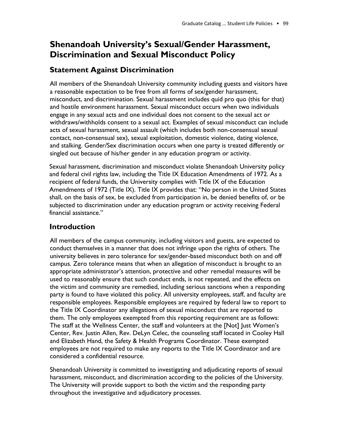# **Shenandoah University's Sexual/Gender Harassment, Discrimination and Sexual Misconduct Policy**

## **Statement Against Discrimination**

All members of the Shenandoah University community including guests and visitors have a reasonable expectation to be free from all forms of sex/gender harassment, misconduct, and discrimination. Sexual harassment includes quid pro quo (this for that) and hostile environment harassment. Sexual misconduct occurs when two individuals engage in any sexual acts and one individual does not consent to the sexual act or withdraws/withholds consent to a sexual act. Examples of sexual misconduct can include acts of sexual harassment, sexual assault (which includes both non-consensual sexual contact, non-consensual sex), sexual exploitation, domestic violence, dating violence, and stalking. Gender/Sex discrimination occurs when one party is treated differently or singled out because of his/her gender in any education program or activity.

Sexual harassment, discrimination and misconduct violate Shenandoah University policy and federal civil rights law, including the Title IX Education Amendments of 1972. As a recipient of federal funds, the University complies with Title IX of the Education Amendments of 1972 (Title IX). Title IX provides that: "No person in the United States shall, on the basis of sex, be excluded from participation in, be denied benefits of, or be subjected to discrimination under any education program or activity receiving Federal financial assistance."

## **Introduction**

All members of the campus community, including visitors and guests, are expected to conduct themselves in a manner that does not infringe upon the rights of others. The university believes in zero tolerance for sex/gender-based misconduct both on and off campus. Zero tolerance means that when an allegation of misconduct is brought to an appropriate administrator's attention, protective and other remedial measures will be used to reasonably ensure that such conduct ends, is not repeated, and the effects on the victim and community are remedied, including serious sanctions when a responding party is found to have violated this policy. All university employees, staff, and faculty are responsible employees. Responsible employees are required by federal law to report to the Title IX Coordinator any allegations of sexual misconduct that are reported to them. The only employees exempted from this reporting requirement are as follows: The staff at the Wellness Center, the staff and volunteers at the [Not] Just Women's Center, Rev. Justin Allen, Rev. DeLyn Celec, the counseling staff located in Cooley Hall and Elizabeth Hand, the Safety & Health Programs Coordinator. These exempted employees are not required to make any reports to the Title IX Coordinator and are considered a confidential resource.

Shenandoah University is committed to investigating and adjudicating reports of sexual harassment, misconduct, and discrimination according to the policies of the University. The University will provide support to both the victim and the responding party throughout the investigative and adjudicatory processes.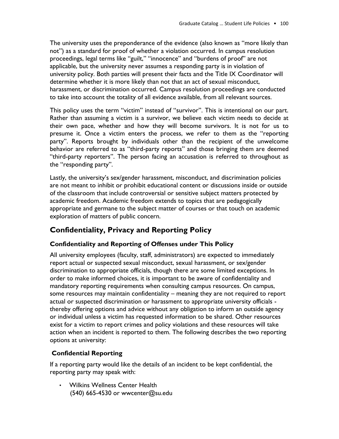The university uses the preponderance of the evidence (also known as "more likely than not") as a standard for proof of whether a violation occurred. In campus resolution proceedings, legal terms like "guilt," "innocence" and "burdens of proof" are not applicable, but the university never assumes a responding party is in violation of university policy. Both parties will present their facts and the Title IX Coordinator will determine whether it is more likely than not that an act of sexual misconduct, harassment, or discrimination occurred. Campus resolution proceedings are conducted to take into account the totality of all evidence available, from all relevant sources.

This policy uses the term "victim" instead of "survivor". This is intentional on our part. Rather than assuming a victim is a survivor, we believe each victim needs to decide at their own pace, whether and how they will become survivors. It is not for us to presume it. Once a victim enters the process, we refer to them as the "reporting party". Reports brought by individuals other than the recipient of the unwelcome behavior are referred to as "third-party reports" and those bringing them are deemed "third-party reporters". The person facing an accusation is referred to throughout as the "responding party".

Lastly, the university's sex/gender harassment, misconduct, and discrimination policies are not meant to inhibit or prohibit educational content or discussions inside or outside of the classroom that include controversial or sensitive subject matters protected by academic freedom. Academic freedom extends to topics that are pedagogically appropriate and germane to the subject matter of courses or that touch on academic exploration of matters of public concern.

## **Confidentiality, Privacy and Reporting Policy**

## **Confidentiality and Reporting of Offenses under This Policy**

All university employees (faculty, staff, administrators) are expected to immediately report actual or suspected sexual misconduct, sexual harassment, or sex/gender discrimination to appropriate officials, though there are some limited exceptions. In order to make informed choices, it is important to be aware of confidentiality and mandatory reporting requirements when consulting campus resources. On campus, some resources may maintain confidentiality – meaning they are not required to report actual or suspected discrimination or harassment to appropriate university officials thereby offering options and advice without any obligation to inform an outside agency or individual unless a victim has requested information to be shared. Other resources exist for a victim to report crimes and policy violations and these resources will take action when an incident is reported to them. The following describes the two reporting options at university:

## **Confidential Reporting**

If a reporting party would like the details of an incident to be kept confidential, the reporting party may speak with:

• Wilkins Wellness Center Health (540) 665-4530 or wwcenter@su.edu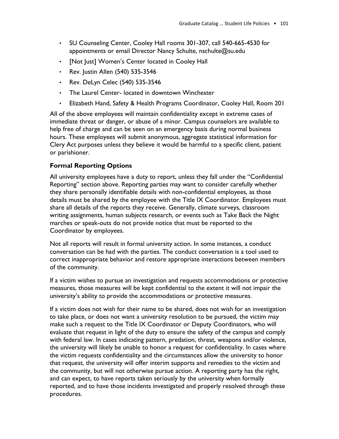- SU Counseling Center, Cooley Hall rooms 301-307, call 540-665-4530 for appointments or email Director Nancy Schulte, nschulte@su.edu
- [Not Just] Women's Center located in Cooley Hall
- Rev. Justin Allen (540) 535-3546
- Rev. DeLyn Celec (540) 535-3546
- The Laurel Center- located in downtown Winchester
- Elizabeth Hand, Safety & Health Programs Coordinator, Cooley Hall, Room 201

All of the above employees will maintain confidentiality except in extreme cases of immediate threat or danger, or abuse of a minor. Campus counselors are available to help free of charge and can be seen on an emergency basis during normal business hours. These employees will submit anonymous, aggregate statistical information for Clery Act purposes unless they believe it would be harmful to a specific client, patient or parishioner.

## **Formal Reporting Options**

All university employees have a duty to report, unless they fall under the "Confidential Reporting" section above. Reporting parties may want to consider carefully whether they share personally identifiable details with non-confidential employees, as those details must be shared by the employee with the Title IX Coordinator. Employees must share all details of the reports they receive. Generally, climate surveys, classroom writing assignments, human subjects research, or events such as Take Back the Night marches or speak-outs do not provide notice that must be reported to the Coordinator by employees.

Not all reports will result in formal university action. In some instances, a conduct conversation can be had with the parties. The conduct conversation is a tool used to correct inappropriate behavior and restore appropriate interactions between members of the community.

If a victim wishes to pursue an investigation and requests accommodations or protective measures, those measures will be kept confidential to the extent it will not impair the university's ability to provide the accommodations or protective measures.

If a victim does not wish for their name to be shared, does not wish for an investigation to take place, or does not want a university resolution to be pursued, the victim may make such a request to the Title IX Coordinator or Deputy Coordinators, who will evaluate that request in light of the duty to ensure the safety of the campus and comply with federal law. In cases indicating pattern, predation, threat, weapons and/or violence, the university will likely be unable to honor a request for confidentiality. In cases where the victim requests confidentiality and the circumstances allow the university to honor that request, the university will offer interim supports and remedies to the victim and the community, but will not otherwise pursue action. A reporting party has the right, and can expect, to have reports taken seriously by the university when formally reported, and to have those incidents investigated and properly resolved through these procedures.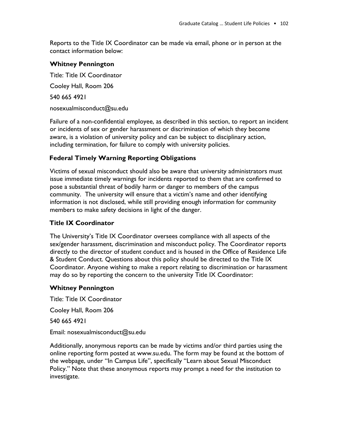Reports to the Title IX Coordinator can be made via email, phone or in person at the contact information below:

#### **Whitney Pennington**

Title: Title IX Coordinator Cooley Hall, Room 206 540 665 4921 nosexualmisconduct@su.edu

Failure of a non-confidential employee, as described in this section, to report an incident or incidents of sex or gender harassment or discrimination of which they become aware, is a violation of university policy and can be subject to disciplinary action, including termination, for failure to comply with university policies.

## **Federal Timely Warning Reporting Obligations**

Victims of sexual misconduct should also be aware that university administrators must issue immediate timely warnings for incidents reported to them that are confirmed to pose a substantial threat of bodily harm or danger to members of the campus community. The university will ensure that a victim's name and other identifying information is not disclosed, while still providing enough information for community members to make safety decisions in light of the danger.

## **Title IX Coordinator**

The University's Title IX Coordinator oversees compliance with all aspects of the sex/gender harassment, discrimination and misconduct policy. The Coordinator reports directly to the director of student conduct and is housed in the Office of Residence Life & Student Conduct. Questions about this policy should be directed to the Title IX Coordinator. Anyone wishing to make a report relating to discrimination or harassment may do so by reporting the concern to the university Title IX Coordinator:

## **Whitney Pennington**

Title: Title IX Coordinator

Cooley Hall, Room 206

540 665 4921

Email: nosexualmisconduct@su.edu

Additionally, anonymous reports can be made by victims and/or third parties using the online reporting form posted at www.su.edu. The form may be found at the bottom of the webpage, under "In Campus Life", specifically "Learn about Sexual Misconduct Policy." Note that these anonymous reports may prompt a need for the institution to investigate.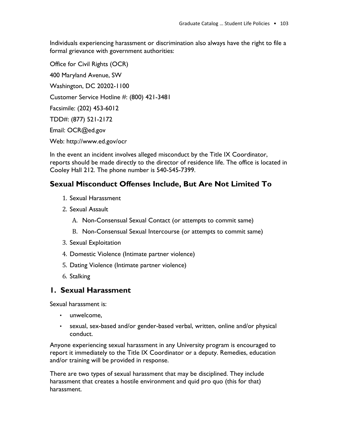Individuals experiencing harassment or discrimination also always have the right to file a formal grievance with government authorities:

Office for Civil Rights (OCR) 400 Maryland Avenue, SW Washington, DC 20202-1100 Customer Service Hotline #: (800) 421-3481 Facsimile: (202) 453-6012 TDD#: (877) 521-2172 Email: OCR@ed.gov Web: http://www.ed.gov/ocr

In the event an incident involves alleged misconduct by the Title IX Coordinator, reports should be made directly to the director of residence life. The office is located in Cooley Hall 212. The phone number is 540-545-7399.

## **Sexual Misconduct Offenses Include, But Are Not Limited To**

- 1. Sexual Harassment
- 2. Sexual Assault
	- A. Non-Consensual Sexual Contact (or attempts to commit same)
	- B. Non-Consensual Sexual Intercourse (or attempts to commit same)
- 3. Sexual Exploitation
- 4. Domestic Violence (Intimate partner violence)
- 5. Dating Violence (Intimate partner violence)
- 6. Stalking

## **1. Sexual Harassment**

Sexual harassment is:

- unwelcome,
- sexual, sex-based and/or gender-based verbal, written, online and/or physical conduct.

Anyone experiencing sexual harassment in any University program is encouraged to report it immediately to the Title IX Coordinator or a deputy. Remedies, education and/or training will be provided in response.

There are two types of sexual harassment that may be disciplined. They include harassment that creates a hostile environment and quid pro quo (this for that) harassment.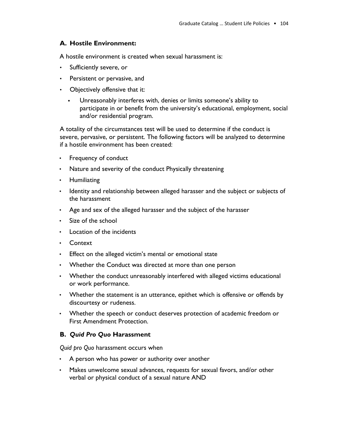## **A. Hostile Environment:**

A hostile environment is created when sexual harassment is:

- Sufficiently severe, or
- Persistent or pervasive, and
- Objectively offensive that it:
	- Unreasonably interferes with, denies or limits someone's ability to participate in or benefit from the university's educational, employment, social and/or residential program.

A totality of the circumstances test will be used to determine if the conduct is severe, pervasive, or persistent. The following factors will be analyzed to determine if a hostile environment has been created:

- Frequency of conduct
- Nature and severity of the conduct Physically threatening
- Humiliating
- Identity and relationship between alleged harasser and the subject or subjects of the harassment
- Age and sex of the alleged harasser and the subject of the harasser
- Size of the school
- Location of the incidents
- Context
- Effect on the alleged victim's mental or emotional state
- Whether the Conduct was directed at more than one person
- Whether the conduct unreasonably interfered with alleged victims educational or work performance.
- Whether the statement is an utterance, epithet which is offensive or offends by discourtesy or rudeness.
- Whether the speech or conduct deserves protection of academic freedom or First Amendment Protection.

## **B.** *Quid Pro Quo* **Harassment**

*Quid pro Quo* harassment occurs when

- A person who has power or authority over another
- Makes unwelcome sexual advances, requests for sexual favors, and/or other verbal or physical conduct of a sexual nature AND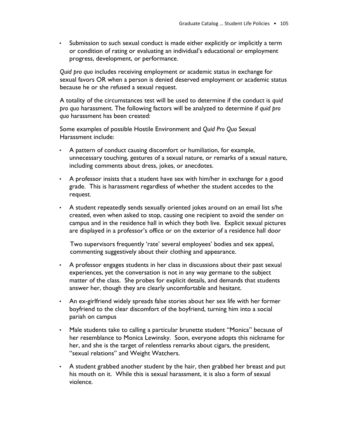• Submission to such sexual conduct is made either explicitly or implicitly a term or condition of rating or evaluating an individual's educational or employment progress, development, or performance.

*Quid pro quo* includes receiving employment or academic status in exchange for sexual favors OR when a person is denied deserved employment or academic status because he or she refused a sexual request.

A totality of the circumstances test will be used to determine if the conduct is *quid pro quo* harassment. The following factors will be analyzed to determine if *quid pro quo* harassment has been created:

Some examples of possible Hostile Environment and *Quid Pro Quo* Sexual Harassment include:

- A pattern of conduct causing discomfort or humiliation, for example, unnecessary touching, gestures of a sexual nature, or remarks of a sexual nature, including comments about dress, jokes, or anecdotes.
- A professor insists that a student have sex with him/her in exchange for a good grade. This is harassment regardless of whether the student accedes to the request.
- A student repeatedly sends sexually oriented jokes around on an email list s/he created, even when asked to stop, causing one recipient to avoid the sender on campus and in the residence hall in which they both live. Explicit sexual pictures are displayed in a professor's office or on the exterior of a residence hall door

Two supervisors frequently 'rate' several employees' bodies and sex appeal, commenting suggestively about their clothing and appearance.

- A professor engages students in her class in discussions about their past sexual experiences, yet the conversation is not in any way germane to the subject matter of the class. She probes for explicit details, and demands that students answer her, though they are clearly uncomfortable and hesitant.
- An ex-girlfriend widely spreads false stories about her sex life with her former boyfriend to the clear discomfort of the boyfriend, turning him into a social pariah on campus
- Male students take to calling a particular brunette student "Monica" because of her resemblance to Monica Lewinsky. Soon, everyone adopts this nickname for her, and she is the target of relentless remarks about cigars, the president, "sexual relations" and Weight Watchers.
- A student grabbed another student by the hair, then grabbed her breast and put his mouth on it. While this is sexual harassment, it is also a form of sexual violence.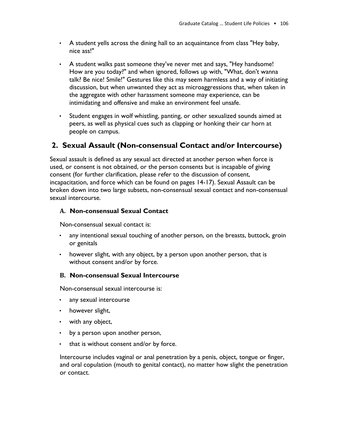- A student yells across the dining hall to an acquaintance from class "Hey baby, nice ass!"
- A student walks past someone they've never met and says, "Hey handsome! How are you today?" and when ignored, follows up with, "What, don't wanna talk? Be nice! Smile!" Gestures like this may seem harmless and a way of initiating discussion, but when unwanted they act as microaggressions that, when taken in the aggregate with other harassment someone may experience, can be intimidating and offensive and make an environment feel unsafe.
- Student engages in wolf whistling, panting, or other sexualized sounds aimed at peers, as well as physical cues such as clapping or honking their car horn at people on campus.

## **2. Sexual Assault (Non-consensual Contact and/or Intercourse)**

Sexual assault is defined as any sexual act directed at another person when force is used, or consent is not obtained, or the person consents but is incapable of giving consent (for further clarification, please refer to the discussion of consent, incapacitation, and force which can be found on pages 14-17). Sexual Assault can be broken down into two large subsets, non-consensual sexual contact and non-consensual sexual intercourse.

## **A. Non-consensual Sexual Contact**

Non-consensual sexual contact is:

- any intentional sexual touching of another person, on the breasts, buttock, groin or genitals
- however slight, with any object, by a person upon another person, that is without consent and/or by force.

## **B. Non-consensual Sexual Intercourse**

Non-consensual sexual intercourse is:

- any sexual intercourse
- however slight,
- with any object,
- by a person upon another person,
- that is without consent and/or by force.

Intercourse includes vaginal or anal penetration by a penis, object, tongue or finger, and oral copulation (mouth to genital contact), no matter how slight the penetration or contact.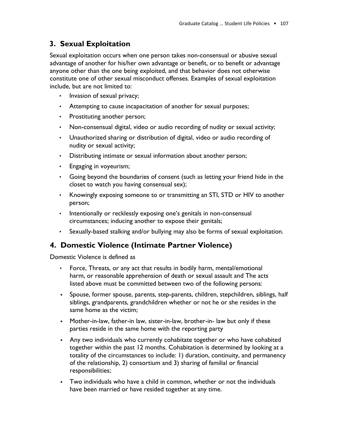## **3. Sexual Exploitation**

Sexual exploitation occurs when one person takes non-consensual or abusive sexual advantage of another for his/her own advantage or benefit, or to benefit or advantage anyone other than the one being exploited, and that behavior does not otherwise constitute one of other sexual misconduct offenses. Examples of sexual exploitation include, but are not limited to:

- Invasion of sexual privacy;
- Attempting to cause incapacitation of another for sexual purposes;
- Prostituting another person;
- Non-consensual digital, video or audio recording of nudity or sexual activity;
- Unauthorized sharing or distribution of digital, video or audio recording of nudity or sexual activity;
- Distributing intimate or sexual information about another person;
- Engaging in voyeurism;
- Going beyond the boundaries of consent (such as letting your friend hide in the closet to watch you having consensual sex);
- Knowingly exposing someone to or transmitting an STI, STD or HIV to another person;
- Intentionally or recklessly exposing one's genitals in non-consensual circumstances; inducing another to expose their genitals;
- Sexually-based stalking and/or bullying may also be forms of sexual exploitation.

## **4. Domestic Violence (Intimate Partner Violence)**

Domestic Violence is defined as

- Force, Threats, or any act that results in bodily harm, mental/emotional harm, or reasonable apprehension of death or sexual assault and The acts listed above must be committed between two of the following persons:
- Spouse, former spouse, parents, step-parents, children, stepchildren, siblings, half siblings, grandparents, grandchildren whether or not he or she resides in the same home as the victim;
- Mother-in-law, father-in law, sister-in-law, brother-in- law but only if these parties reside in the same home with the reporting party
- **Any two individuals who currently cohabitate together or who have cohabited** together within the past 12 months. Cohabitation is determined by looking at a totality of the circumstances to include: 1) duration, continuity, and permanency of the relationship, 2) consortium and 3) sharing of familial or financial responsibilities;
- Two individuals who have a child in common, whether or not the individuals have been married or have resided together at any time.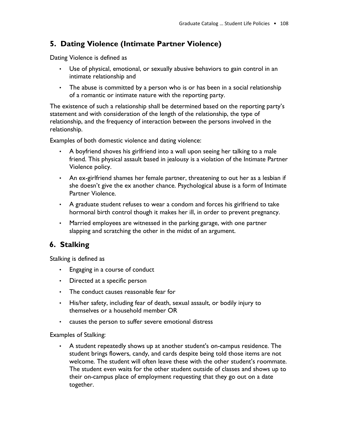## **5. Dating Violence (Intimate Partner Violence)**

Dating Violence is defined as

- Use of physical, emotional, or sexually abusive behaviors to gain control in an intimate relationship and
- The abuse is committed by a person who is or has been in a social relationship of a romantic or intimate nature with the reporting party.

The existence of such a relationship shall be determined based on the reporting party's statement and with consideration of the length of the relationship, the type of relationship, and the frequency of interaction between the persons involved in the relationship.

Examples of both domestic violence and dating violence:

- A boyfriend shoves his girlfriend into a wall upon seeing her talking to a male friend. This physical assault based in jealousy is a violation of the Intimate Partner Violence policy.
- An ex-girlfriend shames her female partner, threatening to out her as a lesbian if she doesn't give the ex another chance. Psychological abuse is a form of Intimate Partner Violence.
- A graduate student refuses to wear a condom and forces his girlfriend to take hormonal birth control though it makes her ill, in order to prevent pregnancy.
- Married employees are witnessed in the parking garage, with one partner slapping and scratching the other in the midst of an argument.

## **6. Stalking**

Stalking is defined as

- Engaging in a course of conduct
- Directed at a specific person
- The conduct causes reasonable fear for
- His/her safety, including fear of death, sexual assault, or bodily injury to themselves or a household member OR
- causes the person to suffer severe emotional distress

#### Examples of Stalking:

• A student repeatedly shows up at another student's on-campus residence. The student brings flowers, candy, and cards despite being told those items are not welcome. The student will often leave these with the other student's roommate. The student even waits for the other student outside of classes and shows up to their on-campus place of employment requesting that they go out on a date together.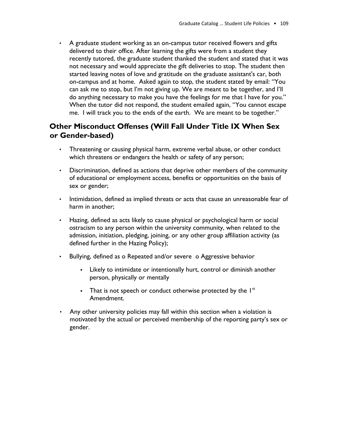• A graduate student working as an on-campus tutor received flowers and gifts delivered to their office. After learning the gifts were from a student they recently tutored, the graduate student thanked the student and stated that it was not necessary and would appreciate the gift deliveries to stop. The student then started leaving notes of love and gratitude on the graduate assistant's car, both on-campus and at home. Asked again to stop, the student stated by email: "You can ask me to stop, but I'm not giving up. We are meant to be together, and I'll do anything necessary to make you have the feelings for me that I have for you." When the tutor did not respond, the student emailed again, "You cannot escape me. I will track you to the ends of the earth. We are meant to be together."

## **Other Misconduct Offenses (Will Fall Under Title IX When Sex or Gender-based)**

- Threatening or causing physical harm, extreme verbal abuse, or other conduct which threatens or endangers the health or safety of any person;
- Discrimination, defined as actions that deprive other members of the community of educational or employment access, benefits or opportunities on the basis of sex or gender;
- Intimidation, defined as implied threats or acts that cause an unreasonable fear of harm in another;
- Hazing, defined as acts likely to cause physical or psychological harm or social ostracism to any person within the university community, when related to the admission, initiation, pledging, joining, or any other group affiliation activity (as defined further in the Hazing Policy);
- Bullying, defined as o Repeated and/or severe o Aggressive behavior
	- **•** Likely to intimidate or intentionally hurt, control or diminish another person, physically or mentally
	- **•** That is not speech or conduct otherwise protected by the  $I<sup>st</sup>$ Amendment.
- Any other university policies may fall within this section when a violation is motivated by the actual or perceived membership of the reporting party's sex or gender.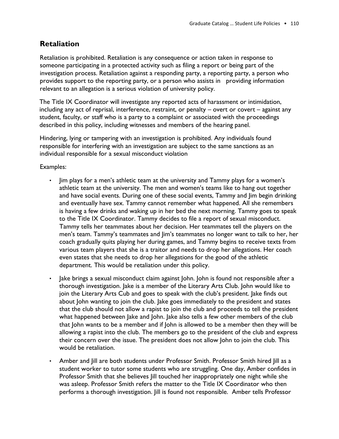## **Retaliation**

Retaliation is prohibited. Retaliation is any consequence or action taken in response to someone participating in a protected activity such as filing a report or being part of the investigation process. Retaliation against a responding party, a reporting party, a person who provides support to the reporting party, or a person who assists in providing information relevant to an allegation is a serious violation of university policy.

The Title IX Coordinator will investigate any reported acts of harassment or intimidation, including any act of reprisal, interference, restraint, or penalty – overt or covert – against any student, faculty, or staff who is a party to a complaint or associated with the proceedings described in this policy, including witnesses and members of the hearing panel.

Hindering, lying or tampering with an investigation is prohibited. Any individuals found responsible for interfering with an investigation are subject to the same sanctions as an individual responsible for a sexual misconduct violation

Examples:

- Jim plays for a men's athletic team at the university and Tammy plays for a women's athletic team at the university. The men and women's teams like to hang out together and have social events. During one of these social events, Tammy and Jim begin drinking and eventually have sex. Tammy cannot remember what happened. All she remembers is having a few drinks and waking up in her bed the next morning. Tammy goes to speak to the Title IX Coordinator. Tammy decides to file a report of sexual misconduct. Tammy tells her teammates about her decision. Her teammates tell the players on the men's team. Tammy's teammates and Jim's teammates no longer want to talk to her, her coach gradually quits playing her during games, and Tammy begins to receive texts from various team players that she is a traitor and needs to drop her allegations. Her coach even states that she needs to drop her allegations for the good of the athletic department. This would be retaliation under this policy.
- Jake brings a sexual misconduct claim against John. John is found not responsible after a thorough investigation. Jake is a member of the Literary Arts Club. John would like to join the Literary Arts Cub and goes to speak with the club's president. Jake finds out about John wanting to join the club. Jake goes immediately to the president and states that the club should not allow a rapist to join the club and proceeds to tell the president what happened between Jake and John. Jake also tells a few other members of the club that John wants to be a member and if John is allowed to be a member then they will be allowing a rapist into the club. The members go to the president of the club and express their concern over the issue. The president does not allow John to join the club. This would be retaliation.
- Amber and Jill are both students under Professor Smith. Professor Smith hired Jill as a student worker to tutor some students who are struggling. One day, Amber confides in Professor Smith that she believes Jill touched her inappropriately one night while she was asleep. Professor Smith refers the matter to the Title IX Coordinator who then performs a thorough investigation. Jill is found not responsible. Amber tells Professor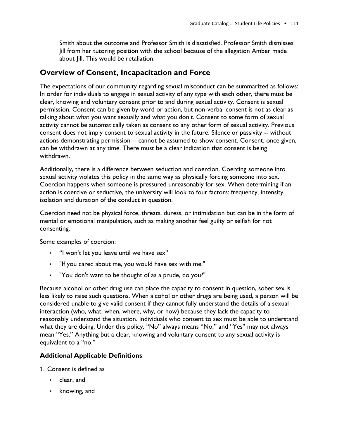Smith about the outcome and Professor Smith is dissatisfied. Professor Smith dismisses Jill from her tutoring position with the school because of the allegation Amber made about Jill. This would be retaliation.

## **Overview of Consent, Incapacitation and Force**

The expectations of our community regarding sexual misconduct can be summarized as follows: In order for individuals to engage in sexual activity of any type with each other, there must be clear, knowing and voluntary consent prior to and during sexual activity. Consent is sexual permission. Consent can be given by word or action, but non-verbal consent is not as clear as talking about what you want sexually and what you don't. Consent to some form of sexual activity cannot be automatically taken as consent to any other form of sexual activity. Previous consent does not imply consent to sexual activity in the future. Silence or passivity -- without actions demonstrating permission -- cannot be assumed to show consent. Consent, once given, can be withdrawn at any time. There must be a clear indication that consent is being withdrawn.

Additionally, there is a difference between seduction and coercion. Coercing someone into sexual activity violates this policy in the same way as physically forcing someone into sex. Coercion happens when someone is pressured unreasonably for sex. When determining if an action is coercive or seductive, the university will look to four factors: frequency, intensity, isolation and duration of the conduct in question.

Coercion need not be physical force, threats, duress, or intimidation but can be in the form of mental or emotional manipulation, such as making another feel guilty or selfish for not consenting.

Some examples of coercion:

- "I won't let you leave until we have sex"
- "If you cared about me, you would have sex with me."
- "You don't want to be thought of as a prude, do you?"

Because alcohol or other drug use can place the capacity to consent in question, sober sex is less likely to raise such questions. When alcohol or other drugs are being used, a person will be considered unable to give valid consent if they cannot fully understand the details of a sexual interaction (who, what, when, where, why, or how) because they lack the capacity to reasonably understand the situation. Individuals who consent to sex must be able to understand what they are doing. Under this policy, "No" always means "No," and "Yes" may not always mean "Yes." Anything but a clear, knowing and voluntary consent to any sexual activity is equivalent to a "no."

## **Additional Applicable Definitions**

- 1. Consent is defined as
	- clear, and
	- knowing, and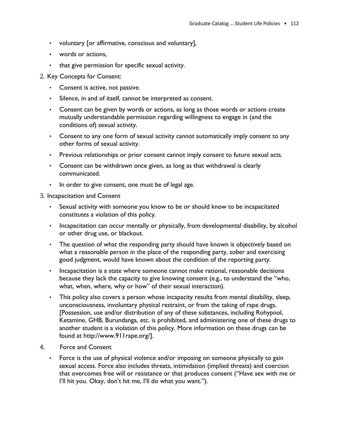- voluntary [or affirmative, conscious and voluntary],
- words or actions,
- that give permission for specific sexual activity.
- 2. Key Concepts for Consent:
	- Consent is active, not passive.
	- Silence, in and of itself, cannot be interpreted as consent.
	- Consent can be given by words or actions, as long as those words or actions create mutually understandable permission regarding willingness to engage in (and the conditions of) sexual activity.
	- Consent to any one form of sexual activity cannot automatically imply consent to any other forms of sexual activity.
	- Previous relationships or prior consent cannot imply consent to future sexual acts.
	- Consent can be withdrawn once given, as long as that withdrawal is clearly communicated.
	- In order to give consent, one must be of legal age.
- 3. Incapacitation and Consent
	- Sexual activity with someone you know to be or should know to be incapacitated constitutes a violation of this policy.
	- Incapacitation can occur mentally or physically, from developmental disability, by alcohol or other drug use, or blackout.
	- The question of what the responding party should have known is objectively based on what a reasonable person in the place of the responding party, sober and exercising good judgment, would have known about the condition of the reporting party.
	- Incapacitation is a state where someone cannot make rational, reasonable decisions because they lack the capacity to give knowing consent (e.g., to understand the "who, what, when, where, why or how" of their sexual interaction).
	- This policy also covers a person whose incapacity results from mental disability, sleep, unconsciousness, involuntary physical restraint, or from the taking of rape drugs. [Possession, use and/or distribution of any of these substances, including Rohypnol, Ketamine, GHB, Burundanga, etc. is prohibited, and administering one of these drugs to another student is a violation of this policy. More information on these drugs can be found at http://www.911rape.org/].
- 4. Force and Consent
	- Force is the use of physical violence and/or imposing on someone physically to gain sexual access. Force also includes threats, intimidation (implied threats) and coercion that overcomes free will or resistance or that produces consent ("Have sex with me or I'll hit you. Okay, don't hit me, I'll do what you want.").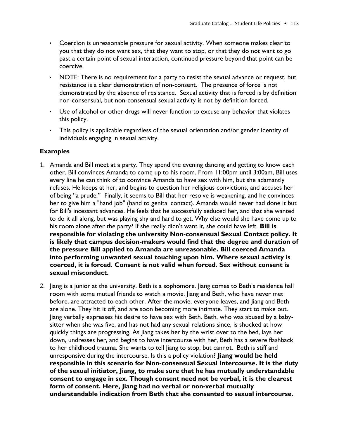- Coercion is unreasonable pressure for sexual activity. When someone makes clear to you that they do not want sex, that they want to stop, or that they do not want to go past a certain point of sexual interaction, continued pressure beyond that point can be coercive.
- NOTE: There is no requirement for a party to resist the sexual advance or request, but resistance is a clear demonstration of non-consent. The presence of force is not demonstrated by the absence of resistance. Sexual activity that is forced is by definition non-consensual, but non-consensual sexual activity is not by definition forced.
- Use of alcohol or other drugs will never function to excuse any behavior that violates this policy.
- This policy is applicable regardless of the sexual orientation and/or gender identity of individuals engaging in sexual activity.

## **Examples**

- 1. Amanda and Bill meet at a party. They spend the evening dancing and getting to know each other. Bill convinces Amanda to come up to his room. From 11:00pm until 3:00am, Bill uses every line he can think of to convince Amanda to have sex with him, but she adamantly refuses. He keeps at her, and begins to question her religious convictions, and accuses her of being "a prude." Finally, it seems to Bill that her resolve is weakening, and he convinces her to give him a "hand job" (hand to genital contact). Amanda would never had done it but for Bill's incessant advances. He feels that he successfully seduced her, and that she wanted to do it all along, but was playing shy and hard to get. Why else would she have come up to his room alone after the party? If she really didn't want it, she could have left. **Bill is responsible for violating the university Non-consensual Sexual Contact policy. It is likely that campus decision-makers would find that the degree and duration of the pressure Bill applied to Amanda are unreasonable. Bill coerced Amanda into performing unwanted sexual touching upon him. Where sexual activity is coerced, it is forced. Consent is not valid when forced. Sex without consent is sexual misconduct.**
- 2. Jiang is a junior at the university. Beth is a sophomore. Jiang comes to Beth's residence hall room with some mutual friends to watch a movie. Jiang and Beth, who have never met before, are attracted to each other. After the movie, everyone leaves, and Jiang and Beth are alone. They hit it off, and are soon becoming more intimate. They start to make out. Jiang verbally expresses his desire to have sex with Beth. Beth, who was abused by a babysitter when she was five, and has not had any sexual relations since, is shocked at how quickly things are progressing. As Jiang takes her by the wrist over to the bed, lays her down, undresses her, and begins to have intercourse with her, Beth has a severe flashback to her childhood trauma. She wants to tell Jiang to stop, but cannot. Beth is stiff and unresponsive during the intercourse. Is this a policy violation? **Jiang would be held responsible in this scenario for Non-consensual Sexual Intercourse. It is the duty of the sexual initiator, Jiang, to make sure that he has mutually understandable consent to engage in sex. Though consent need not be verbal, it is the clearest form of consent. Here, Jiang had no verbal or non-verbal mutually understandable indication from Beth that she consented to sexual intercourse.**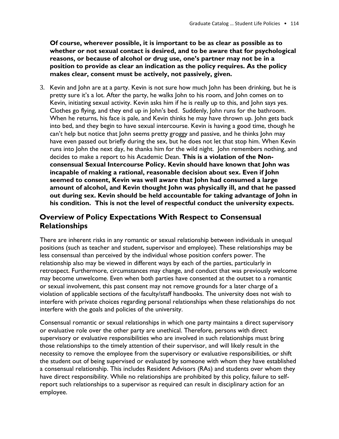**Of course, wherever possible, it is important to be as clear as possible as to whether or not sexual contact is desired, and to be aware that for psychological reasons, or because of alcohol or drug use, one's partner may not be in a position to provide as clear an indication as the policy requires. As the policy makes clear, consent must be actively, not passively, given.**

3. Kevin and John are at a party. Kevin is not sure how much John has been drinking, but he is pretty sure it's a lot. After the party, he walks John to his room, and John comes on to Kevin, initiating sexual activity. Kevin asks him if he is really up to this, and John says yes. Clothes go flying, and they end up in John's bed. Suddenly, John runs for the bathroom. When he returns, his face is pale, and Kevin thinks he may have thrown up. John gets back into bed, and they begin to have sexual intercourse. Kevin is having a good time, though he can't help but notice that John seems pretty groggy and passive, and he thinks John may have even passed out briefly during the sex, but he does not let that stop him. When Kevin runs into John the next day, he thanks him for the wild night. John remembers nothing, and decides to make a report to his Academic Dean. **This is a violation of the Nonconsensual Sexual Intercourse Policy. Kevin should have known that John was incapable of making a rational, reasonable decision about sex. Even if John seemed to consent, Kevin was well aware that John had consumed a large amount of alcohol, and Kevin thought John was physically ill, and that he passed out during sex. Kevin should be held accountable for taking advantage of John in his condition. This is not the level of respectful conduct the university expects.**

## **Overview of Policy Expectations With Respect to Consensual Relationships**

There are inherent risks in any romantic or sexual relationship between individuals in unequal positions (such as teacher and student, supervisor and employee). These relationships may be less consensual than perceived by the individual whose position confers power. The relationship also may be viewed in different ways by each of the parties, particularly in retrospect. Furthermore, circumstances may change, and conduct that was previously welcome may become unwelcome. Even when both parties have consented at the outset to a romantic or sexual involvement, this past consent may not remove grounds for a later charge of a violation of applicable sections of the faculty/staff handbooks. The university does not wish to interfere with private choices regarding personal relationships when these relationships do not interfere with the goals and policies of the university.

Consensual romantic or sexual relationships in which one party maintains a direct supervisory or evaluative role over the other party are unethical. Therefore, persons with direct supervisory or evaluative responsibilities who are involved in such relationships must bring those relationships to the timely attention of their supervisor, and will likely result in the necessity to remove the employee from the supervisory or evaluative responsibilities, or shift the student out of being supervised or evaluated by someone with whom they have established a consensual relationship. This includes Resident Advisors (RAs) and students over whom they have direct responsibility. While no relationships are prohibited by this policy, failure to selfreport such relationships to a supervisor as required can result in disciplinary action for an employee.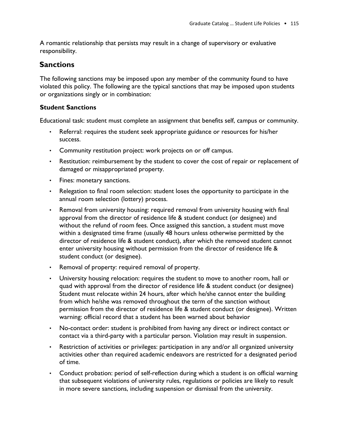A romantic relationship that persists may result in a change of supervisory or evaluative responsibility.

## **Sanctions**

The following sanctions may be imposed upon any member of the community found to have violated this policy. The following are the typical sanctions that may be imposed upon students or organizations singly or in combination:

## **Student Sanctions**

Educational task: student must complete an assignment that benefits self, campus or community.

- Referral: requires the student seek appropriate guidance or resources for his/her success.
- Community restitution project: work projects on or off campus.
- Restitution: reimbursement by the student to cover the cost of repair or replacement of damaged or misappropriated property.
- Fines: monetary sanctions.
- Relegation to final room selection: student loses the opportunity to participate in the annual room selection (lottery) process.
- Removal from university housing: required removal from university housing with final approval from the director of residence life & student conduct (or designee) and without the refund of room fees. Once assigned this sanction, a student must move within a designated time frame (usually 48 hours unless otherwise permitted by the director of residence life & student conduct), after which the removed student cannot enter university housing without permission from the director of residence life & student conduct (or designee).
- Removal of property: required removal of property.
- University housing relocation: requires the student to move to another room, hall or quad with approval from the director of residence life & student conduct (or designee) Student must relocate within 24 hours, after which he/she cannot enter the building from which he/she was removed throughout the term of the sanction without permission from the director of residence life & student conduct (or designee). Written warning: official record that a student has been warned about behavior
- No-contact order: student is prohibited from having any direct or indirect contact or contact via a third-party with a particular person. Violation may result in suspension.
- Restriction of activities or privileges: participation in any and/or all organized university activities other than required academic endeavors are restricted for a designated period of time.
- Conduct probation: period of self-reflection during which a student is on official warning that subsequent violations of university rules, regulations or policies are likely to result in more severe sanctions, including suspension or dismissal from the university.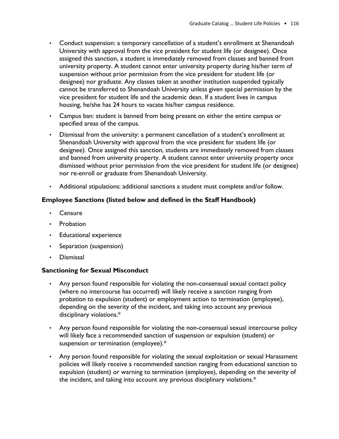- Conduct suspension: a temporary cancellation of a student's enrollment at Shenandoah University with approval from the vice president for student life (or designee). Once assigned this sanction, a student is immediately removed from classes and banned from university property. A student cannot enter university property during his/her term of suspension without prior permission from the vice president for student life (or designee) nor graduate. Any classes taken at another institution suspended typically cannot be transferred to Shenandoah University unless given special permission by the vice president for student life and the academic dean. If a student lives in campus housing, he/she has 24 hours to vacate his/her campus residence.
- Campus ban: student is banned from being present on either the entire campus or specified areas of the campus.
- Dismissal from the university: a permanent cancellation of a student's enrollment at Shenandoah University with approval from the vice president for student life (or designee). Once assigned this sanction, students are immediately removed from classes and banned from university property. A student cannot enter university property once dismissed without prior permission from the vice president for student life (or designee) nor re-enroll or graduate from Shenandoah University.
- Additional stipulations: additional sanctions a student must complete and/or follow.

## **Employee Sanctions (listed below and defined in the Staff Handbook)**

- **Censure**
- **Probation**
- Educational experience
- Separation (suspension)
- Dismissal

## **Sanctioning for Sexual Misconduct**

- Any person found responsible for violating the non-consensual sexual contact policy (where no intercourse has occurred) will likely receive a sanction ranging from probation to expulsion (student) or employment action to termination (employee), depending on the severity of the incident, and taking into account any previous disciplinary violations.\*
- Any person found responsible for violating the non-consensual sexual intercourse policy will likely face a recommended sanction of suspension or expulsion (student) or suspension or termination (employee).\*
- Any person found responsible for violating the sexual exploitation or sexual Harassment policies will likely receive a recommended sanction ranging from educational sanction to expulsion (student) or warning to termination (employee), depending on the severity of the incident, and taking into account any previous disciplinary violations.\*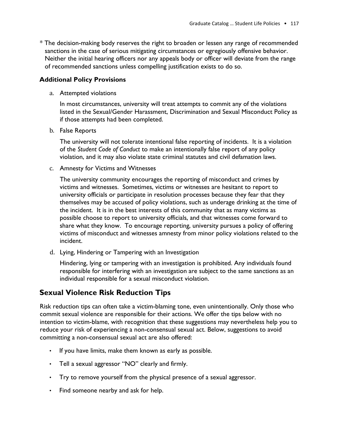\* The decision-making body reserves the right to broaden or lessen any range of recommended sanctions in the case of serious mitigating circumstances or egregiously offensive behavior. Neither the initial hearing officers nor any appeals body or officer will deviate from the range of recommended sanctions unless compelling justification exists to do so.

## **Additional Policy Provisions**

a. Attempted violations

In most circumstances, university will treat attempts to commit any of the violations listed in the Sexual/Gender Harassment, Discrimination and Sexual Misconduct Policy as if those attempts had been completed.

b. False Reports

The university will not tolerate intentional false reporting of incidents. It is a violation of the *Student Code of Conduct* to make an intentionally false report of any policy violation, and it may also violate state criminal statutes and civil defamation laws.

c. Amnesty for Victims and Witnesses

The university community encourages the reporting of misconduct and crimes by victims and witnesses. Sometimes, victims or witnesses are hesitant to report to university officials or participate in resolution processes because they fear that they themselves may be accused of policy violations, such as underage drinking at the time of the incident. It is in the best interests of this community that as many victims as possible choose to report to university officials, and that witnesses come forward to share what they know. To encourage reporting, university pursues a policy of offering victims of misconduct and witnesses amnesty from minor policy violations related to the incident.

d. Lying, Hindering or Tampering with an Investigation

Hindering, lying or tampering with an investigation is prohibited. Any individuals found responsible for interfering with an investigation are subject to the same sanctions as an individual responsible for a sexual misconduct violation.

## **Sexual Violence Risk Reduction Tips**

Risk reduction tips can often take a victim-blaming tone, even unintentionally. Only those who commit sexual violence are responsible for their actions. We offer the tips below with no intention to victim-blame, with recognition that these suggestions may nevertheless help you to reduce your risk of experiencing a non-consensual sexual act. Below, suggestions to avoid committing a non-consensual sexual act are also offered:

- If you have limits, make them known as early as possible.
- Tell a sexual aggressor "NO" clearly and firmly.
- Try to remove yourself from the physical presence of a sexual aggressor.
- Find someone nearby and ask for help.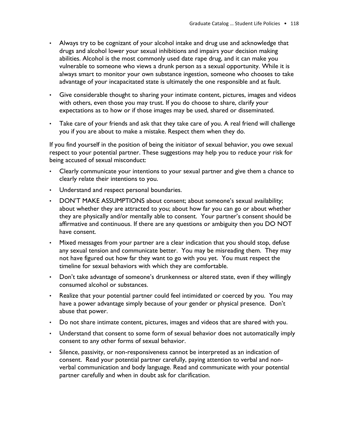- Always try to be cognizant of your alcohol intake and drug use and acknowledge that drugs and alcohol lower your sexual inhibitions and impairs your decision making abilities. Alcohol is the most commonly used date rape drug, and it can make you vulnerable to someone who views a drunk person as a sexual opportunity. While it is always smart to monitor your own substance ingestion, someone who chooses to take advantage of your incapacitated state is ultimately the one responsible and at fault.
- Give considerable thought to sharing your intimate content, pictures, images and videos with others, even those you may trust. If you do choose to share, clarify your expectations as to how or if those images may be used, shared or disseminated.
- Take care of your friends and ask that they take care of you. A real friend will challenge you if you are about to make a mistake. Respect them when they do.

If you find yourself in the position of being the initiator of sexual behavior, you owe sexual respect to your potential partner. These suggestions may help you to reduce your risk for being accused of sexual misconduct:

- Clearly communicate your intentions to your sexual partner and give them a chance to clearly relate their intentions to you.
- Understand and respect personal boundaries.
- DON'T MAKE ASSUMPTIONS about consent; about someone's sexual availability; about whether they are attracted to you; about how far you can go or about whether they are physically and/or mentally able to consent. Your partner's consent should be affirmative and continuous. If there are any questions or ambiguity then you DO NOT have consent.
- Mixed messages from your partner are a clear indication that you should stop, defuse any sexual tension and communicate better. You may be misreading them. They may not have figured out how far they want to go with you yet. You must respect the timeline for sexual behaviors with which they are comfortable.
- Don't take advantage of someone's drunkenness or altered state, even if they willingly consumed alcohol or substances.
- Realize that your potential partner could feel intimidated or coerced by you. You may have a power advantage simply because of your gender or physical presence. Don't abuse that power.
- Do not share intimate content, pictures, images and videos that are shared with you.
- Understand that consent to some form of sexual behavior does not automatically imply consent to any other forms of sexual behavior.
- Silence, passivity, or non-responsiveness cannot be interpreted as an indication of consent. Read your potential partner carefully, paying attention to verbal and nonverbal communication and body language. Read and communicate with your potential partner carefully and when in doubt ask for clarification.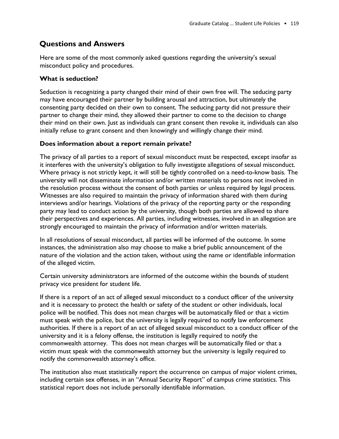## **Questions and Answers**

Here are some of the most commonly asked questions regarding the university's sexual misconduct policy and procedures.

## **What is seduction?**

Seduction is recognizing a party changed their mind of their own free will. The seducing party may have encouraged their partner by building arousal and attraction, but ultimately the consenting party decided on their own to consent. The seducing party did not pressure their partner to change their mind, they allowed their partner to come to the decision to change their mind on their own. Just as individuals can grant consent then revoke it, individuals can also initially refuse to grant consent and then knowingly and willingly change their mind.

## **Does information about a report remain private?**

The privacy of all parties to a report of sexual misconduct must be respected, except insofar as it interferes with the university's obligation to fully investigate allegations of sexual misconduct. Where privacy is not strictly kept, it will still be tightly controlled on a need-to-know basis. The university will not disseminate information and/or written materials to persons not involved in the resolution process without the consent of both parties or unless required by legal process. Witnesses are also required to maintain the privacy of information shared with them during interviews and/or hearings. Violations of the privacy of the reporting party or the responding party may lead to conduct action by the university, though both parties are allowed to share their perspectives and experiences. All parties, including witnesses, involved in an allegation are strongly encouraged to maintain the privacy of information and/or written materials.

In all resolutions of sexual misconduct, all parties will be informed of the outcome. In some instances, the administration also may choose to make a brief public announcement of the nature of the violation and the action taken, without using the name or identifiable information of the alleged victim.

Certain university administrators are informed of the outcome within the bounds of student privacy vice president for student life.

If there is a report of an act of alleged sexual misconduct to a conduct officer of the university and it is necessary to protect the health or safety of the student or other individuals, local police will be notified. This does not mean charges will be automatically filed or that a victim must speak with the police, but the university is legally required to notify law enforcement authorities. If there is a report of an act of alleged sexual misconduct to a conduct officer of the university and it is a felony offense, the institution is legally required to notify the commonwealth attorney. This does not mean charges will be automatically filed or that a victim must speak with the commonwealth attorney but the university is legally required to notify the commonwealth attorney's office.

The institution also must statistically report the occurrence on campus of major violent crimes, including certain sex offenses, in an "Annual Security Report" of campus crime statistics. This statistical report does not include personally identifiable information.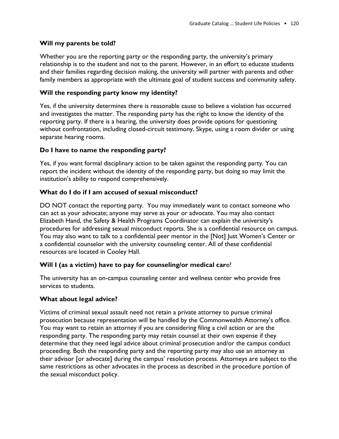## **Will my parents be told?**

Whether you are the reporting party or the responding party, the university's primary relationship is to the student and not to the parent. However, in an effort to educate students and their families regarding decision making, the university will partner with parents and other family members as appropriate with the ultimate goal of student success and community safety.

## **Will the responding party know my identity?**

Yes, if the university determines there is reasonable cause to believe a violation has occurred and investigates the matter. The responding party has the right to know the identity of the reporting party. If there is a hearing, the university does provide options for questioning without confrontation, including closed-circuit testimony, Skype, using a room divider or using separate hearing rooms.

## **Do I have to name the responding party?**

Yes, if you want formal disciplinary action to be taken against the responding party. You can report the incident without the identity of the responding party, but doing so may limit the institution's ability to respond comprehensively.

## **What do I do if I am accused of sexual misconduct?**

DO NOT contact the reporting party. You may immediately want to contact someone who can act as your advocate; anyone may serve as your or advocate. You may also contact Elizabeth Hand, the Safety & Health Programs Coordinator can explain the university's procedures for addressing sexual misconduct reports. She is a confidential resource on campus. You may also want to talk to a confidential peer mentor in the [Not] Just Women's Center or a confidential counselor with the university counseling center. All of these confidential resources are located in Cooley Hall.

## **Will I (as a victim) have to pay for counseling/or medical car**e?

The university has an on-campus counseling center and wellness center who provide free services to students.

## **What about legal advice?**

Victims of criminal sexual assault need not retain a private attorney to pursue criminal prosecution because representation will be handled by the Commonwealth Attorney's office. You may want to retain an attorney if you are considering filing a civil action or are the responding party. The responding party may retain counsel at their own expense if they determine that they need legal advice about criminal prosecution and/or the campus conduct proceeding. Both the responding party and the reporting party may also use an attorney as their advisor [or advocate] during the campus' resolution process. Attorneys are subject to the same restrictions as other advocates in the process as described in the procedure portion of the sexual misconduct policy.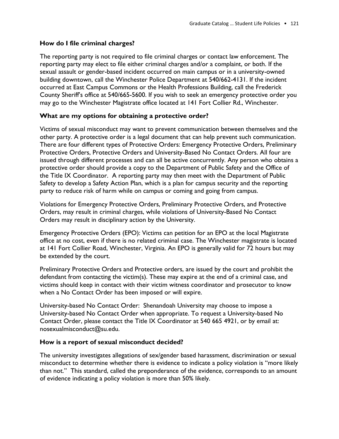## **How do I file criminal charges?**

The reporting party is not required to file criminal charges or contact law enforcement. The reporting party may elect to file either criminal charges and/or a complaint, or both. If the sexual assault or gender-based incident occurred on main campus or in a university-owned building downtown, call the Winchester Police Department at 540/662-4131. If the incident occurred at East Campus Commons or the Health Professions Building, call the Frederick County Sheriff's office at 540/665-5600. If you wish to seek an emergency protective order you may go to the Winchester Magistrate office located at 141 Fort Collier Rd., Winchester.

#### **What are my options for obtaining a protective order?**

Victims of sexual misconduct may want to prevent communication between themselves and the other party. A protective order is a legal document that can help prevent such communication. There are four different types of Protective Orders: Emergency Protective Orders, Preliminary Protective Orders, Protective Orders and University-Based No Contact Orders. All four are issued through different processes and can all be active concurrently. Any person who obtains a protective order should provide a copy to the Department of Public Safety and the Office of the Title IX Coordinator. A reporting party may then meet with the Department of Public Safety to develop a Safety Action Plan, which is a plan for campus security and the reporting party to reduce risk of harm while on campus or coming and going from campus.

Violations for Emergency Protective Orders, Preliminary Protective Orders, and Protective Orders, may result in criminal charges, while violations of University-Based No Contact Orders may result in disciplinary action by the University.

Emergency Protective Orders (EPO): Victims can petition for an EPO at the local Magistrate office at no cost, even if there is no related criminal case. The Winchester magistrate is located at 141 Fort Collier Road, Winchester, Virginia. An EPO is generally valid for 72 hours but may be extended by the court.

Preliminary Protective Orders and Protective orders, are issued by the court and prohibit the defendant from contacting the victim(s). These may expire at the end of a criminal case, and victims should keep in contact with their victim witness coordinator and prosecutor to know when a No Contact Order has been imposed or will expire.

University-based No Contact Order: Shenandoah University may choose to impose a University-based No Contact Order when appropriate. To request a University-based No Contact Order, please contact the Title IX Coordinator at 540 665 4921, or by email at: nosexualmisconduct@su.edu.

#### **How is a report of sexual misconduct decided?**

The university investigates allegations of sex/gender based harassment, discrimination or sexual misconduct to determine whether there is evidence to indicate a policy violation is "more likely than not." This standard, called the preponderance of the evidence, corresponds to an amount of evidence indicating a policy violation is more than 50% likely.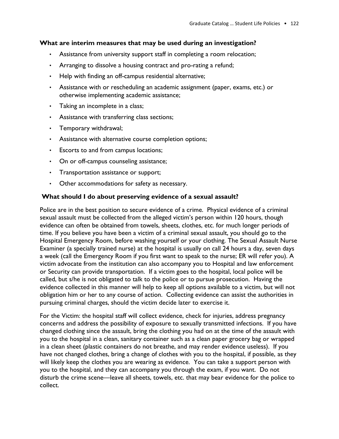#### **What are interim measures that may be used during an investigation?**

- Assistance from university support staff in completing a room relocation;
- Arranging to dissolve a housing contract and pro-rating a refund;
- Help with finding an off-campus residential alternative;
- Assistance with or rescheduling an academic assignment (paper, exams, etc.) or otherwise implementing academic assistance;
- Taking an incomplete in a class;
- Assistance with transferring class sections;
- Temporary withdrawal;
- Assistance with alternative course completion options;
- Escorts to and from campus locations;
- On or off-campus counseling assistance;
- Transportation assistance or support;
- Other accommodations for safety as necessary.

#### **What should I do about preserving evidence of a sexual assault?**

Police are in the best position to secure evidence of a crime. Physical evidence of a criminal sexual assault must be collected from the alleged victim's person within 120 hours, though evidence can often be obtained from towels, sheets, clothes, etc. for much longer periods of time. If you believe you have been a victim of a criminal sexual assault, you should go to the Hospital Emergency Room, before washing yourself or your clothing. The Sexual Assault Nurse Examiner (a specially trained nurse) at the hospital is usually on call 24 hours a day, seven days a week (call the Emergency Room if you first want to speak to the nurse; ER will refer you). A victim advocate from the institution can also accompany you to Hospital and law enforcement or Security can provide transportation. If a victim goes to the hospital, local police will be called, but s/he is not obligated to talk to the police or to pursue prosecution. Having the evidence collected in this manner will help to keep all options available to a victim, but will not obligation him or her to any course of action. Collecting evidence can assist the authorities in pursuing criminal charges, should the victim decide later to exercise it.

For the Victim: the hospital staff will collect evidence, check for injuries, address pregnancy concerns and address the possibility of exposure to sexually transmitted infections. If you have changed clothing since the assault, bring the clothing you had on at the time of the assault with you to the hospital in a clean, sanitary container such as a clean paper grocery bag or wrapped in a clean sheet (plastic containers do not breathe, and may render evidence useless). If you have not changed clothes, bring a change of clothes with you to the hospital, if possible, as they will likely keep the clothes you are wearing as evidence. You can take a support person with you to the hospital, and they can accompany you through the exam, if you want. Do not disturb the crime scene—leave all sheets, towels, etc. that may bear evidence for the police to collect.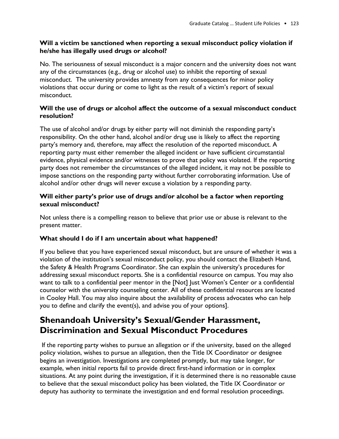## **Will a victim be sanctioned when reporting a sexual misconduct policy violation if he/she has illegally used drugs or alcohol?**

No. The seriousness of sexual misconduct is a major concern and the university does not want any of the circumstances (e.g., drug or alcohol use) to inhibit the reporting of sexual misconduct. The university provides amnesty from any consequences for minor policy violations that occur during or come to light as the result of a victim's report of sexual misconduct.

## **Will the use of drugs or alcohol affect the outcome of a sexual misconduct conduct resolution?**

The use of alcohol and/or drugs by either party will not diminish the responding party's responsibility. On the other hand, alcohol and/or drug use is likely to affect the reporting party's memory and, therefore, may affect the resolution of the reported misconduct. A reporting party must either remember the alleged incident or have sufficient circumstantial evidence, physical evidence and/or witnesses to prove that policy was violated. If the reporting party does not remember the circumstances of the alleged incident, it may not be possible to impose sanctions on the responding party without further corroborating information. Use of alcohol and/or other drugs will never excuse a violation by a responding party.

## **Will either party's prior use of drugs and/or alcohol be a factor when reporting sexual misconduct?**

Not unless there is a compelling reason to believe that prior use or abuse is relevant to the present matter.

## **What should I do if I am uncertain about what happened?**

If you believe that you have experienced sexual misconduct, but are unsure of whether it was a violation of the institution's sexual misconduct policy, you should contact the Elizabeth Hand, the Safety & Health Programs Coordinator. She can explain the university's procedures for addressing sexual misconduct reports. She is a confidential resource on campus. You may also want to talk to a confidential peer mentor in the [Not] Just Women's Center or a confidential counselor with the university counseling center. All of these confidential resources are located in Cooley Hall. You may also inquire about the availability of process advocates who can help you to define and clarify the event(s), and advise you of your options].

## **Shenandoah University's Sexual/Gender Harassment, Discrimination and Sexual Misconduct Procedures**

If the reporting party wishes to pursue an allegation or if the university, based on the alleged policy violation, wishes to pursue an allegation, then the Title IX Coordinator or designee begins an investigation. Investigations are completed promptly, but may take longer, for example, when initial reports fail to provide direct first-hand information or in complex situations. At any point during the investigation, if it is determined there is no reasonable cause to believe that the sexual misconduct policy has been violated, the Title IX Coordinator or deputy has authority to terminate the investigation and end formal resolution proceedings.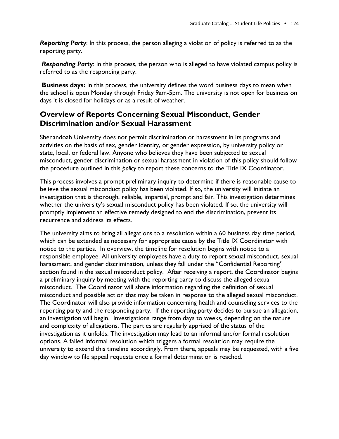*Reporting Party*: In this process, the person alleging a violation of policy is referred to as the reporting party.

*Responding Party*: In this process, the person who is alleged to have violated campus policy is referred to as the responding party.

**Business days:** In this process, the university defines the word business days to mean when the school is open Monday through Friday 9am-5pm. The university is not open for business on days it is closed for holidays or as a result of weather.

## **Overview of Reports Concerning Sexual Misconduct, Gender Discrimination and/or Sexual Harassment**

Shenandoah University does not permit discrimination or harassment in its programs and activities on the basis of sex, gender identity, or gender expression, by university policy or state, local, or federal law. Anyone who believes they have been subjected to sexual misconduct, gender discrimination or sexual harassment in violation of this policy should follow the procedure outlined in this *policy* to report these concerns to the Title IX Coordinator.

This process involves a prompt preliminary inquiry to determine if there is reasonable cause to believe the sexual misconduct policy has been violated. If so, the university will initiate an investigation that is thorough, reliable, impartial, prompt and fair. This investigation determines whether the university's sexual misconduct policy has been violated. If so, the university will promptly implement an effective remedy designed to end the discrimination, prevent its recurrence and address its effects.

The university aims to bring all allegations to a resolution within a 60 business day time period, which can be extended as necessary for appropriate cause by the Title IX Coordinator with notice to the parties. In overview, the timeline for resolution begins with notice to a responsible employee. All university employees have a duty to report sexual misconduct, sexual harassment, and gender discrimination, unless they fall under the "Confidential Reporting" section found in the sexual misconduct policy. After receiving a report, the Coordinator begins a preliminary inquiry by meeting with the reporting party to discuss the alleged sexual misconduct. The Coordinator will share information regarding the definition of sexual misconduct and possible action that may be taken in response to the alleged sexual misconduct. The Coordinator will also provide information concerning health and counseling services to the reporting party and the responding party. If the reporting party decides to pursue an allegation, an investigation will begin. Investigations range from days to weeks, depending on the nature and complexity of allegations. The parties are regularly apprised of the status of the investigation as it unfolds. The investigation may lead to an informal and/or formal resolution options. A failed informal resolution which triggers a formal resolution may require the university to extend this timeline accordingly. From there, appeals may be requested, with a five day window to file appeal requests once a formal determination is reached.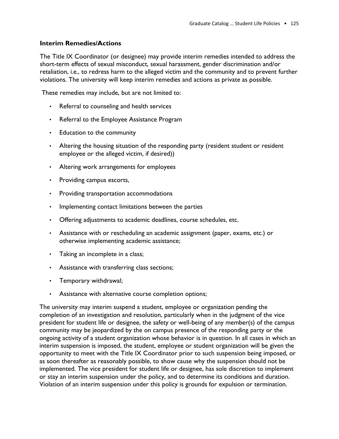## **Interim Remedies/Actions**

The Title IX Coordinator (or designee) may provide interim remedies intended to address the short-term effects of sexual misconduct, sexual harassment, gender discrimination and/or retaliation, i.e., to redress harm to the alleged victim and the community and to prevent further violations. The university will keep interim remedies and actions as private as possible.

These remedies may include, but are not limited to:

- Referral to counseling and health services
- Referral to the Employee Assistance Program
- Education to the community
- Altering the housing situation of the responding party (resident student or resident employee or the alleged victim, if desired))
- Altering work arrangements for employees
- Providing campus escorts,
- Providing transportation accommodations
- Implementing contact limitations between the parties
- Offering adjustments to academic deadlines, course schedules, etc.
- Assistance with or rescheduling an academic assignment (paper, exams, etc.) or otherwise implementing academic assistance;
- Taking an incomplete in a class;
- Assistance with transferring class sections;
- Temporary withdrawal;
- Assistance with alternative course completion options;

The university may interim suspend a student, employee or organization pending the completion of an investigation and resolution, particularly when in the judgment of the vice president for student life or designee, the safety or well-being of any member(s) of the campus community may be jeopardized by the on campus presence of the responding party or the ongoing activity of a student organization whose behavior is in question. In all cases in which an interim suspension is imposed, the student, employee or student organization will be given the opportunity to meet with the Title IX Coordinator prior to such suspension being imposed, or as soon thereafter as reasonably possible, to show cause why the suspension should not be implemented. The vice president for student life or designee, has sole discretion to implement or stay an interim suspension under the policy, and to determine its conditions and duration. Violation of an interim suspension under this policy is grounds for expulsion or termination.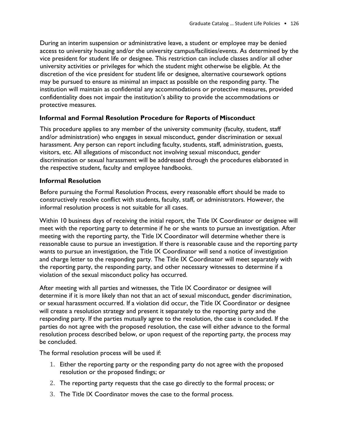During an interim suspension or administrative leave, a student or employee may be denied access to university housing and/or the university campus/facilities/events. As determined by the vice president for student life or designee. This restriction can include classes and/or all other university activities or privileges for which the student might otherwise be eligible. At the discretion of the vice president for student life or designee, alternative coursework options may be pursued to ensure as minimal an impact as possible on the responding party. The institution will maintain as confidential any accommodations or protective measures, provided confidentiality does not impair the institution's ability to provide the accommodations or protective measures.

#### **Informal and Formal Resolution Procedure for Reports of Misconduct**

This procedure applies to any member of the university community (faculty, student, staff and/or administration) who engages in sexual misconduct, gender discrimination or sexual harassment. Any person can report including faculty, students, staff, administration, guests, visitors, etc. All allegations of misconduct not involving sexual misconduct, gender discrimination or sexual harassment will be addressed through the procedures elaborated in the respective student, faculty and employee handbooks.

#### **Informal Resolution**

Before pursuing the Formal Resolution Process, every reasonable effort should be made to constructively resolve conflict with students, faculty, staff, or administrators. However, the informal resolution process is not suitable for all cases.

Within 10 business days of receiving the initial report, the Title IX Coordinator or designee will meet with the reporting party to determine if he or she wants to pursue an investigation. After meeting with the reporting party, the Title IX Coordinator will determine whether there is reasonable cause to pursue an investigation. If there is reasonable cause and the reporting party wants to pursue an investigation, the Title IX Coordinator will send a notice of investigation and charge letter to the responding party. The Title IX Coordinator will meet separately with the reporting party, the responding party, and other necessary witnesses to determine if a violation of the sexual misconduct policy has occurred.

After meeting with all parties and witnesses, the Title IX Coordinator or designee will determine if it is more likely than not that an act of sexual misconduct, gender discrimination, or sexual harassment occurred. If a violation did occur, the Title IX Coordinator or designee will create a resolution strategy and present it separately to the reporting party and the responding party. If the parties mutually agree to the resolution, the case is concluded. If the parties do not agree with the proposed resolution, the case will either advance to the formal resolution process described below, or upon request of the reporting party, the process may be concluded.

The formal resolution process will be used if:

- 1. Either the reporting party or the responding party do not agree with the proposed resolution or the proposed findings; or
- 2. The reporting party requests that the case go directly to the formal process; or
- 3. The Title IX Coordinator moves the case to the formal process.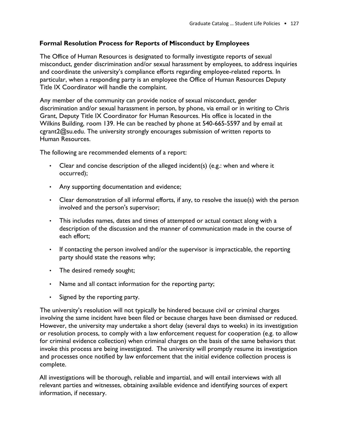## **Formal Resolution Process for Reports of Misconduct by Employees**

The Office of Human Resources is designated to formally investigate reports of sexual misconduct, gender discrimination and/or sexual harassment by employees, to address inquiries and coordinate the university's compliance efforts regarding employee-related reports. In particular, when a responding party is an employee the Office of Human Resources Deputy Title IX Coordinator will handle the complaint.

Any member of the community can provide notice of sexual misconduct, gender discrimination and/or sexual harassment in person, by phone, via email or in writing to Chris Grant, Deputy Title IX Coordinator for Human Resources. His office is located in the Wilkins Building, room 139. He can be reached by phone at 540-665-5597 and by email at cgrant2@su.edu. The university strongly encourages submission of written reports to Human Resources.

The following are recommended elements of a report:

- Clear and concise description of the alleged incident(s) (e.g.: when and where it occurred);
- Any supporting documentation and evidence;
- Clear demonstration of all informal efforts, if any, to resolve the issue(s) with the person involved and the person's supervisor;
- This includes names, dates and times of attempted or actual contact along with a description of the discussion and the manner of communication made in the course of each effort;
- If contacting the person involved and/or the supervisor is impracticable, the reporting party should state the reasons why;
- The desired remedy sought;
- Name and all contact information for the reporting party;
- Signed by the reporting party.

The university's resolution will not typically be hindered because civil or criminal charges involving the same incident have been filed or because charges have been dismissed or reduced. However, the university may undertake a short delay (several days to weeks) in its investigation or resolution process, to comply with a law enforcement request for cooperation (e.g. to allow for criminal evidence collection) when criminal charges on the basis of the same behaviors that invoke this process are being investigated. The university will promptly resume its investigation and processes once notified by law enforcement that the initial evidence collection process is complete.

All investigations will be thorough, reliable and impartial, and will entail interviews with all relevant parties and witnesses, obtaining available evidence and identifying sources of expert information, if necessary.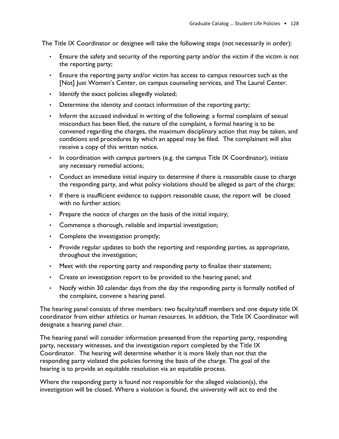The Title IX Coordinator or designee will take the following steps (not necessarily in order):

- Ensure the safety and security of the reporting party and/or the victim if the victim is not the reporting party;
- Ensure the reporting party and/or victim has access to campus resources such as the [Not] Just Women's Center, on campus counseling services, and The Laurel Center.
- Identify the exact policies allegedly violated;
- Determine the identity and contact information of the reporting party;
- Inform the accused individual in writing of the following: a formal complaint of sexual misconduct has been filed, the nature of the complaint, a formal hearing is to be convened regarding the charges, the maximum disciplinary action that may be taken, and conditions and procedures by which an appeal may be filed. The complainant will also receive a copy of this written notice.
- In coordination with campus partners (e.g. the campus Title IX Coordinator), initiate any necessary remedial actions;
- Conduct an immediate initial inquiry to determine if there is reasonable cause to charge the responding party, and what policy violations should be alleged as part of the charge;
- If there is insufficient evidence to support reasonable cause, the report will be closed with no further action;
- Prepare the notice of charges on the basis of the initial inquiry;
- Commence a thorough, reliable and impartial investigation;
- Complete the investigation promptly;
- Provide regular updates to both the reporting and responding parties, as appropriate, throughout the investigation;
- Meet with the reporting party and responding party to finalize their statement;
- Create an investigation report to be provided to the hearing panel; and
- Notify within 30 calendar days from the day the responding party is formally notified of the complaint, convene a hearing panel.

The hearing panel consists of three members: two faculty/staff members and one deputy title IX coordinator from either athletics or human resources. In addition, the Title IX Coordinator will designate a hearing panel chair.

The hearing panel will consider information presented from the reporting party, responding party, necessary witnesses, and the investigation report completed by the Title IX Coordinator. The hearing will determine whether it is more likely than not that the responding party violated the policies forming the basis of the charge. The goal of the hearing is to provide an equitable resolution via an equitable process.

Where the responding party is found not responsible for the alleged violation(s), the investigation will be closed. Where a violation is found, the university will act to end the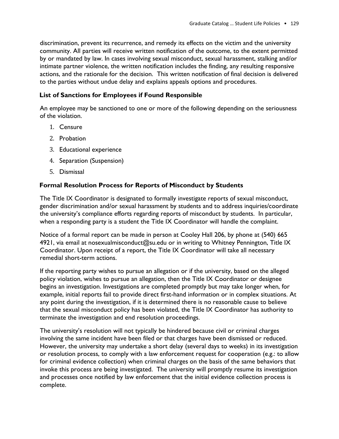discrimination, prevent its recurrence, and remedy its effects on the victim and the university community. All parties will receive written notification of the outcome, to the extent permitted by or mandated by law. In cases involving sexual misconduct, sexual harassment, stalking and/or intimate partner violence, the written notification includes the finding, any resulting responsive actions, and the rationale for the decision. This written notification of final decision is delivered to the parties without undue delay and explains appeals options and procedures.

## **List of Sanctions for Employees if Found Responsible**

An employee may be sanctioned to one or more of the following depending on the seriousness of the violation.

- 1. Censure
- 2. Probation
- 3. Educational experience
- 4. Separation (Suspension)
- 5. Dismissal

#### **Formal Resolution Process for Reports of Misconduct by Students**

The Title IX Coordinator is designated to formally investigate reports of sexual misconduct, gender discrimination and/or sexual harassment by students and to address inquiries/coordinate the university's compliance efforts regarding reports of misconduct by students. In particular, when a responding party is a student the Title IX Coordinator will handle the complaint.

Notice of a formal report can be made in person at Cooley Hall 206, by phone at (540) 665 4921, via email at nosexualmisconduct@su.edu or in writing to Whitney Pennington, Title IX Coordinator. Upon receipt of a report, the Title IX Coordinator will take all necessary remedial short-term actions.

If the reporting party wishes to pursue an allegation or if the university, based on the alleged policy violation, wishes to pursue an allegation, then the Title IX Coordinator or designee begins an investigation. Investigations are completed promptly but may take longer when, for example, initial reports fail to provide direct first-hand information or in complex situations. At any point during the investigation, if it is determined there is no reasonable cause to believe that the sexual misconduct policy has been violated, the Title IX Coordinator has authority to terminate the investigation and end resolution proceedings.

The university's resolution will not typically be hindered because civil or criminal charges involving the same incident have been filed or that charges have been dismissed or reduced. However, the university may undertake a short delay (several days to weeks) in its investigation or resolution process, to comply with a law enforcement request for cooperation (e.g.: to allow for criminal evidence collection) when criminal charges on the basis of the same behaviors that invoke this process are being investigated. The university will promptly resume its investigation and processes once notified by law enforcement that the initial evidence collection process is complete.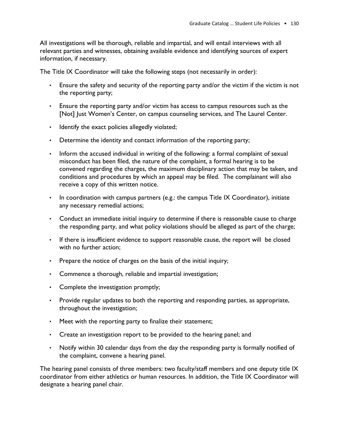All investigations will be thorough, reliable and impartial, and will entail interviews with all relevant parties and witnesses, obtaining available evidence and identifying sources of expert information, if necessary.

The Title IX Coordinator will take the following steps (not necessarily in order):

- Ensure the safety and security of the reporting party and/or the victim if the victim is not the reporting party;
- Ensure the reporting party and/or victim has access to campus resources such as the [Not] Just Women's Center, on campus counseling services, and The Laurel Center.
- Identify the exact policies allegedly violated;
- Determine the identity and contact information of the reporting party;
- Inform the accused individual in writing of the following: a formal complaint of sexual misconduct has been filed, the nature of the complaint, a formal hearing is to be convened regarding the charges, the maximum disciplinary action that may be taken, and conditions and procedures by which an appeal may be filed. The complainant will also receive a copy of this written notice.
- In coordination with campus partners (e.g.: the campus Title IX Coordinator), initiate any necessary remedial actions;
- Conduct an immediate initial inquiry to determine if there is reasonable cause to charge the responding party, and what policy violations should be alleged as part of the charge;
- If there is insufficient evidence to support reasonable cause, the report will be closed with no further action;
- Prepare the notice of charges on the basis of the initial inquiry;
- Commence a thorough, reliable and impartial investigation;
- Complete the investigation promptly;
- Provide regular updates to both the reporting and responding parties, as appropriate, throughout the investigation;
- Meet with the reporting party to finalize their statement;
- Create an investigation report to be provided to the hearing panel; and
- Notify within 30 calendar days from the day the responding party is formally notified of the complaint, convene a hearing panel.

The hearing panel consists of three members: two faculty/staff members and one deputy title IX coordinator from either athletics or human resources. In addition, the Title IX Coordinator will designate a hearing panel chair.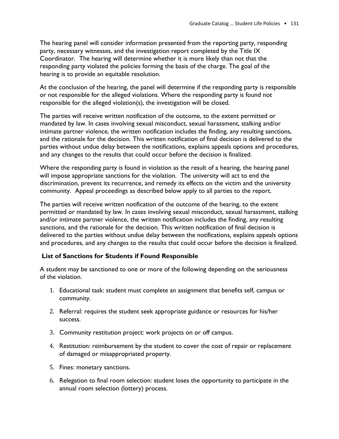The hearing panel will consider information presented from the reporting party, responding party, necessary witnesses, and the investigation report completed by the Title IX Coordinator. The hearing will determine whether it is more likely than not that the responding party violated the policies forming the basis of the charge. The goal of the hearing is to provide an equitable resolution.

At the conclusion of the hearing, the panel will determine if the responding party is responsible or not responsible for the alleged violations. Where the responding party is found not responsible for the alleged violation(s), the investigation will be closed.

The parties will receive written notification of the outcome, to the extent permitted or mandated by law. In cases involving sexual misconduct, sexual harassment, stalking and/or intimate partner violence, the written notification includes the finding, any resulting sanctions, and the rationale for the decision. This written notification of final decision is delivered to the parties without undue delay between the notifications, explains appeals options and procedures, and any changes to the results that could occur before the decision is finalized.

Where the responding party is found in violation as the result of a hearing, the hearing panel will impose appropriate sanctions for the violation. The university will act to end the discrimination, prevent its recurrence, and remedy its effects on the victim and the university community. Appeal proceedings as described below apply to all parties to the report.

The parties will receive written notification of the outcome of the hearing, to the extent permitted or mandated by law. In cases involving sexual misconduct, sexual harassment, stalking and/or intimate partner violence, the written notification includes the finding, any resulting sanctions, and the rationale for the decision. This written notification of final decision is delivered to the parties without undue delay between the notifications, explains appeals options and procedures, and any changes to the results that could occur before the decision is finalized.

## **List of Sanctions for Students if Found Responsible**

A student may be sanctioned to one or more of the following depending on the seriousness of the violation.

- 1. Educational task: student must complete an assignment that benefits self, campus or community.
- 2. Referral: requires the student seek appropriate guidance or resources for his/her success.
- 3. Community restitution project: work projects on or off campus.
- 4. Restitution: reimbursement by the student to cover the cost of repair or replacement of damaged or misappropriated property.
- 5. Fines: monetary sanctions.
- 6. Relegation to final room selection: student loses the opportunity to participate in the annual room selection (lottery) process.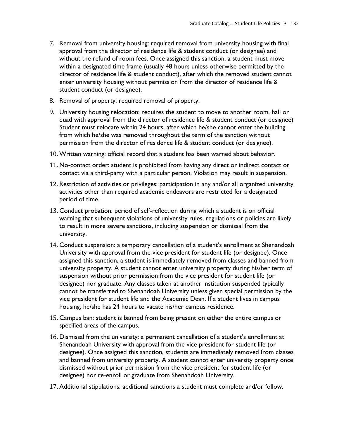- 7. Removal from university housing: required removal from university housing with final approval from the director of residence life & student conduct (or designee) and without the refund of room fees. Once assigned this sanction, a student must move within a designated time frame (usually 48 hours unless otherwise permitted by the director of residence life & student conduct), after which the removed student cannot enter university housing without permission from the director of residence life & student conduct (or designee).
- 8. Removal of property: required removal of property.
- 9. University housing relocation: requires the student to move to another room, hall or quad with approval from the director of residence life & student conduct (or designee) Student must relocate within 24 hours, after which he/she cannot enter the building from which he/she was removed throughout the term of the sanction without permission from the director of residence life & student conduct (or designee).
- 10. Written warning: official record that a student has been warned about behavior.
- 11. No-contact order: student is prohibited from having any direct or indirect contact or contact via a third-party with a particular person. Violation may result in suspension.
- 12. Restriction of activities or privileges: participation in any and/or all organized university activities other than required academic endeavors are restricted for a designated period of time.
- 13. Conduct probation: period of self-reflection during which a student is on official warning that subsequent violations of university rules, regulations or policies are likely to result in more severe sanctions, including suspension or dismissal from the university.
- 14. Conduct suspension: a temporary cancellation of a student's enrollment at Shenandoah University with approval from the vice president for student life (or designee). Once assigned this sanction, a student is immediately removed from classes and banned from university property. A student cannot enter university property during his/her term of suspension without prior permission from the vice president for student life (or designee) nor graduate. Any classes taken at another institution suspended typically cannot be transferred to Shenandoah University unless given special permission by the vice president for student life and the Academic Dean. If a student lives in campus housing, he/she has 24 hours to vacate his/her campus residence.
- 15. Campus ban: student is banned from being present on either the entire campus or specified areas of the campus.
- 16. Dismissal from the university: a permanent cancellation of a student's enrollment at Shenandoah University with approval from the vice president for student life (or designee). Once assigned this sanction, students are immediately removed from classes and banned from university property. A student cannot enter university property once dismissed without prior permission from the vice president for student life (or designee) nor re-enroll or graduate from Shenandoah University.
- 17. Additional stipulations: additional sanctions a student must complete and/or follow.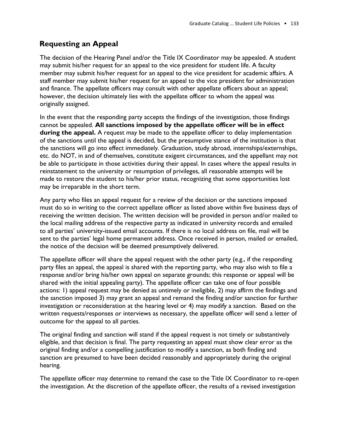## **Requesting an Appeal**

The decision of the Hearing Panel and/or the Title IX Coordinator may be appealed. A student may submit his/her request for an appeal to the vice president for student life. A faculty member may submit his/her request for an appeal to the vice president for academic affairs. A staff member may submit his/her request for an appeal to the vice president for administration and finance. The appellate officers may consult with other appellate officers about an appeal; however, the decision ultimately lies with the appellate officer to whom the appeal was originally assigned.

In the event that the responding party accepts the findings of the investigation, those findings cannot be appealed. **All sanctions imposed by the appellate officer will be in effect during the appeal.** A request may be made to the appellate officer to delay implementation of the sanctions until the appeal is decided, but the presumptive stance of the institution is that the sanctions will go into effect immediately. Graduation, study abroad, internships/externships, etc. do NOT, in and of themselves, constitute exigent circumstances, and the appellant may not be able to participate in those activities during their appeal. In cases where the appeal results in reinstatement to the university or resumption of privileges, all reasonable attempts will be made to restore the student to his/her prior status, recognizing that some opportunities lost may be irreparable in the short term.

Any party who files an appeal request for a review of the decision or the sanctions imposed must do so in writing to the correct appellate officer as listed above within five business days of receiving the written decision. The written decision will be provided in person and/or mailed to the local mailing address of the respective party as indicated in university records and emailed to all parties' university-issued email accounts. If there is no local address on file, mail will be sent to the parties' legal home permanent address. Once received in person, mailed or emailed, the notice of the decision will be deemed presumptively delivered.

The appellate officer will share the appeal request with the other party (e.g., if the responding party files an appeal, the appeal is shared with the reporting party, who may also wish to file a response and/or bring his/her own appeal on separate grounds; this response or appeal will be shared with the initial appealing party). The appellate officer can take one of four possible actions: 1) appeal request may be denied as untimely or ineligible, 2) may affirm the findings and the sanction imposed 3) may grant an appeal and remand the finding and/or sanction for further investigation or reconsideration at the hearing level or 4) may modify a sanction. Based on the written requests/responses or interviews as necessary, the appellate officer will send a letter of outcome for the appeal to all parties.

The original finding and sanction will stand if the appeal request is not timely or substantively eligible, and that decision is final. The party requesting an appeal must show clear error as the original finding and/or a compelling justification to modify a sanction, as both finding and sanction are presumed to have been decided reasonably and appropriately during the original hearing.

The appellate officer may determine to remand the case to the Title IX Coordinator to re-open the investigation. At the discretion of the appellate officer, the results of a revised investigation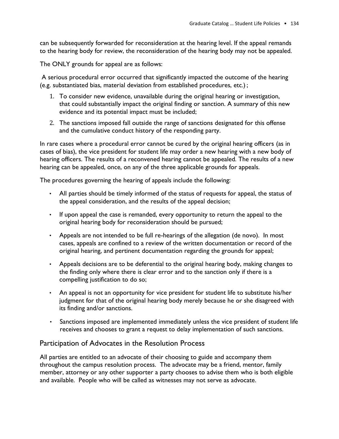can be subsequently forwarded for reconsideration at the hearing level. If the appeal remands to the hearing body for review, the reconsideration of the hearing body may not be appealed.

The ONLY grounds for appeal are as follows:

A serious procedural error occurred that significantly impacted the outcome of the hearing (e.g. substantiated bias, material deviation from established procedures, etc.) ;

- 1. To consider new evidence, unavailable during the original hearing or investigation, that could substantially impact the original finding or sanction. A summary of this new evidence and its potential impact must be included;
- 2. The sanctions imposed fall outside the range of sanctions designated for this offense and the cumulative conduct history of the responding party.

In rare cases where a procedural error cannot be cured by the original hearing officers (as in cases of bias), the vice president for student life may order a new hearing with a new body of hearing officers. The results of a reconvened hearing cannot be appealed. The results of a new hearing can be appealed, once, on any of the three applicable grounds for appeals.

The procedures governing the hearing of appeals include the following:

- All parties should be timely informed of the status of requests for appeal, the status of the appeal consideration, and the results of the appeal decision;
- If upon appeal the case is remanded, every opportunity to return the appeal to the original hearing body for reconsideration should be pursued;
- Appeals are not intended to be full re-hearings of the allegation (de novo). In most cases, appeals are confined to a review of the written documentation or record of the original hearing, and pertinent documentation regarding the grounds for appeal;
- Appeals decisions are to be deferential to the original hearing body, making changes to the finding only where there is clear error and to the sanction only if there is a compelling justification to do so;
- An appeal is not an opportunity for vice president for student life to substitute his/her judgment for that of the original hearing body merely because he or she disagreed with its finding and/or sanctions.
- Sanctions imposed are implemented immediately unless the vice president of student life receives and chooses to grant a request to delay implementation of such sanctions.

## Participation of Advocates in the Resolution Process

All parties are entitled to an advocate of their choosing to guide and accompany them throughout the campus resolution process. The advocate may be a friend, mentor, family member, attorney or any other supporter a party chooses to advise them who is both eligible and available. People who will be called as witnesses may not serve as advocate.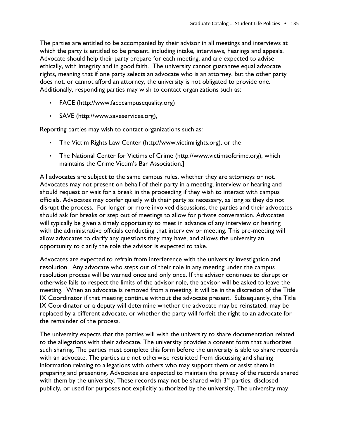The parties are entitled to be accompanied by their advisor in all meetings and interviews at which the party is entitled to be present, including intake, interviews, hearings and appeals. Advocate should help their party prepare for each meeting, and are expected to advise ethically, with integrity and in good faith. The university cannot guarantee equal advocate rights, meaning that if one party selects an advocate who is an attorney, but the other party does not, or cannot afford an attorney, the university is not obligated to provide one. Additionally, responding parties may wish to contact organizations such as:

- FACE (http://www.facecampusequality.org)
- SAVE (http://www.saveservices.org),

Reporting parties may wish to contact organizations such as:

- The Victim Rights Law Center (http://www.victimrights.org), or the
- The National Center for Victims of Crime (http://www.victimsofcrime.org), which maintains the Crime Victim's Bar Association.]

All advocates are subject to the same campus rules, whether they are attorneys or not. Advocates may not present on behalf of their party in a meeting, interview or hearing and should request or wait for a break in the proceeding if they wish to interact with campus officials. Advocates may confer quietly with their party as necessary, as long as they do not disrupt the process. For longer or more involved discussions, the parties and their advocates should ask for breaks or step out of meetings to allow for private conversation. Advocates will typically be given a timely opportunity to meet in advance of any interview or hearing with the administrative officials conducting that interview or meeting. This pre-meeting will allow advocates to clarify any questions they may have, and allows the university an opportunity to clarify the role the advisor is expected to take.

Advocates are expected to refrain from interference with the university investigation and resolution. Any advocate who steps out of their role in any meeting under the campus resolution process will be warned once and only once. If the advisor continues to disrupt or otherwise fails to respect the limits of the advisor role, the advisor will be asked to leave the meeting. When an advocate is removed from a meeting, it will be in the discretion of the Title IX Coordinator if that meeting continue without the advocate present. Subsequently, the Title IX Coordinator or a deputy will determine whether the advocate may be reinstated, may be replaced by a different advocate, or whether the party will forfeit the right to an advocate for the remainder of the process.

The university expects that the parties will wish the university to share documentation related to the allegations with their advocate. The university provides a consent form that authorizes such sharing. The parties must complete this form before the university is able to share records with an advocate. The parties are not otherwise restricted from discussing and sharing information relating to allegations with others who may support them or assist them in preparing and presenting. Advocates are expected to maintain the privacy of the records shared with them by the university. These records may not be shared with  $3<sup>rd</sup>$  parties, disclosed publicly, or used for purposes not explicitly authorized by the university. The university may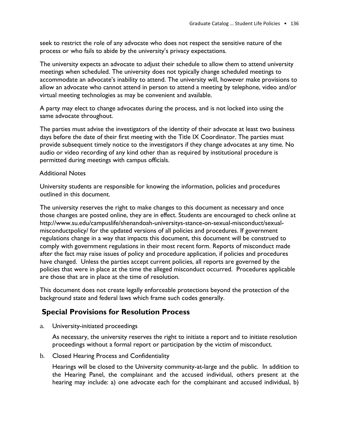seek to restrict the role of any advocate who does not respect the sensitive nature of the process or who fails to abide by the university's privacy expectations.

The university expects an advocate to adjust their schedule to allow them to attend university meetings when scheduled. The university does not typically change scheduled meetings to accommodate an advocate's inability to attend. The university will, however make provisions to allow an advocate who cannot attend in person to attend a meeting by telephone, video and/or virtual meeting technologies as may be convenient and available.

A party may elect to change advocates during the process, and is not locked into using the same advocate throughout.

The parties must advise the investigators of the identity of their advocate at least two business days before the date of their first meeting with the Title IX Coordinator. The parties must provide subsequent timely notice to the investigators if they change advocates at any time. No audio or video recording of any kind other than as required by institutional procedure is permitted during meetings with campus officials.

#### Additional Notes

University students are responsible for knowing the information, policies and procedures outlined in this document.

The university reserves the right to make changes to this document as necessary and once those changes are posted online, they are in effect. Students are encouraged to check online at http://www.su.edu/campuslife/shenandoah-universitys-stance-on-sexual-misconduct/sexualmisconductpolicy/ for the updated versions of all policies and procedures. If government regulations change in a way that impacts this document, this document will be construed to comply with government regulations in their most recent form. Reports of misconduct made after the fact may raise issues of policy and procedure application, if policies and procedures have changed. Unless the parties accept current policies, all reports are governed by the policies that were in place at the time the alleged misconduct occurred. Procedures applicable are those that are in place at the time of resolution.

This document does not create legally enforceable protections beyond the protection of the background state and federal laws which frame such codes generally.

## **Special Provisions for Resolution Process**

a. University-initiated proceedings

As necessary, the university reserves the right to initiate a report and to initiate resolution proceedings without a formal report or participation by the victim of misconduct.

b. Closed Hearing Process and Confidentiality

Hearings will be closed to the University community-at-large and the public. In addition to the Hearing Panel, the complainant and the accused individual, others present at the hearing may include: a) one advocate each for the complainant and accused individual, b)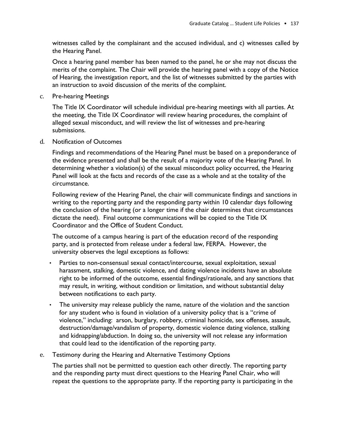witnesses called by the complainant and the accused individual, and c) witnesses called by the Hearing Panel.

Once a hearing panel member has been named to the panel, he or she may not discuss the merits of the complaint. The Chair will provide the hearing panel with a copy of the Notice of Hearing, the investigation report, and the list of witnesses submitted by the parties with an instruction to avoid discussion of the merits of the complaint.

c. Pre-hearing Meetings

The Title IX Coordinator will schedule individual pre-hearing meetings with all parties. At the meeting, the Title IX Coordinator will review hearing procedures, the complaint of alleged sexual misconduct, and will review the list of witnesses and pre-hearing submissions.

d. Notification of Outcomes

Findings and recommendations of the Hearing Panel must be based on a preponderance of the evidence presented and shall be the result of a majority vote of the Hearing Panel. In determining whether a violation(s) of the sexual misconduct policy occurred, the Hearing Panel will look at the facts and records of the case as a whole and at the totality of the circumstance.

Following review of the Hearing Panel, the chair will communicate findings and sanctions in writing to the reporting party and the responding party within 10 calendar days following the conclusion of the hearing (or a longer time if the chair determines that circumstances dictate the need). Final outcome communications will be copied to the Title IX Coordinator and the Office of Student Conduct.

The outcome of a campus hearing is part of the education record of the responding party, and is protected from release under a federal law, FERPA. However, the university observes the legal exceptions as follows:

- Parties to non-consensual sexual contact/intercourse, sexual exploitation, sexual harassment, stalking, domestic violence, and dating violence incidents have an absolute right to be informed of the outcome, essential findings/rationale, and any sanctions that may result, in writing, without condition or limitation, and without substantial delay between notifications to each party.
- The university may release publicly the name, nature of the violation and the sanction for any student who is found in violation of a university policy that is a "crime of violence," including: arson, burglary, robbery, criminal homicide, sex offenses, assault, destruction/damage/vandalism of property, domestic violence dating violence, stalking and kidnapping/abduction. In doing so, the university will not release any information that could lead to the identification of the reporting party.
- e. Testimony during the Hearing and Alternative Testimony Options

The parties shall not be permitted to question each other directly. The reporting party and the responding party must direct questions to the Hearing Panel Chair, who will repeat the questions to the appropriate party. If the reporting party is participating in the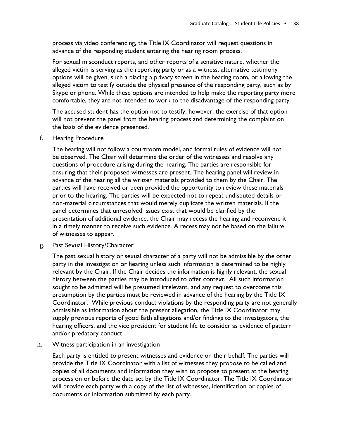process via video conferencing, the Title IX Coordinator will request questions in advance of the responding student entering the hearing room process.

For sexual misconduct reports, and other reports of a sensitive nature, whether the alleged victim is serving as the reporting party or as a witness, alternative testimony options will be given, such a placing a privacy screen in the hearing room, or allowing the alleged victim to testify outside the physical presence of the responding party, such as by Skype or phone. While these options are intended to help make the reporting party more comfortable, they are not intended to work to the disadvantage of the responding party.

The accused student has the option not to testify; however, the exercise of that option will not prevent the panel from the hearing process and determining the complaint on the basis of the evidence presented.

f. Hearing Procedure

The hearing will not follow a courtroom model, and formal rules of evidence will not be observed. The Chair will determine the order of the witnesses and resolve any questions of procedure arising during the hearing. The parties are responsible for ensuring that their proposed witnesses are present. The hearing panel will review in advance of the hearing all the written materials provided to them by the Chair. The parties will have received or been provided the opportunity to review these materials prior to the hearing. The parties will be expected not to repeat undisputed details or non-material circumstances that would merely duplicate the written materials. If the panel determines that unresolved issues exist that would be clarified by the presentation of additional evidence, the Chair may recess the hearing and reconvene it in a timely manner to receive such evidence. A recess may not be based on the failure of witnesses to appear.

g. Past Sexual History/Character

The past sexual history or sexual character of a party will not be admissible by the other party in the investigation or hearing unless such information is determined to be highly relevant by the Chair. If the Chair decides the information is highly relevant, the sexual history between the parties may be introduced to offer context. All such information sought to be admitted will be presumed irrelevant, and any request to overcome this presumption by the parties must be reviewed in advance of the hearing by the Title IX Coordinator. While previous conduct violations by the responding party are not generally admissible as information about the present allegation, the Title IX Coordinator may supply previous reports of good faith allegations and/or findings to the investigators, the hearing officers, and the vice president for student life to consider as evidence of pattern and/or predatory conduct.

h. Witness participation in an investigation

Each party is entitled to present witnesses and evidence on their behalf. The parties will provide the Title IX Coordinator with a list of witnesses they propose to be called and copies of all documents and information they wish to propose to present at the hearing process on or before the date set by the Title IX Coordinator. The Title IX Coordinator will provide each party with a copy of the list of witnesses, identification or copies of documents or information submitted by each party.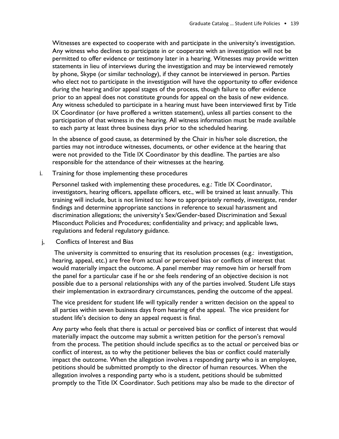Witnesses are expected to cooperate with and participate in the university's investigation. Any witness who declines to participate in or cooperate with an investigation will not be permitted to offer evidence or testimony later in a hearing. Witnesses may provide written statements in lieu of interviews during the investigation and may be interviewed remotely by phone, Skype (or similar technology), if they cannot be interviewed in person. Parties who elect not to participate in the investigation will have the opportunity to offer evidence during the hearing and/or appeal stages of the process, though failure to offer evidence prior to an appeal does not constitute grounds for appeal on the basis of new evidence. Any witness scheduled to participate in a hearing must have been interviewed first by Title IX Coordinator (or have proffered a written statement), unless all parties consent to the participation of that witness in the hearing. All witness information must be made available to each party at least three business days prior to the scheduled hearing.

In the absence of good cause, as determined by the Chair in his/her sole discretion, the parties may not introduce witnesses, documents, or other evidence at the hearing that were not provided to the Title IX Coordinator by this deadline. The parties are also responsible for the attendance of their witnesses at the hearing.

i. Training for those implementing these procedures

Personnel tasked with implementing these procedures, e.g.: Title IX Coordinator, investigators, hearing officers, appellate officers, etc., will be trained at least annually. This training will include, but is not limited to: how to appropriately remedy, investigate, render findings and determine appropriate sanctions in reference to sexual harassment and discrimination allegations; the university's Sex/Gender-based Discrimination and Sexual Misconduct Policies and Procedures; confidentiality and privacy; and applicable laws, regulations and federal regulatory guidance.

j, Conflicts of Interest and Bias

The university is committed to ensuring that its resolution processes (e.g.: investigation, hearing, appeal, etc.) are free from actual or perceived bias or conflicts of interest that would materially impact the outcome. A panel member may remove him or herself from the panel for a particular case if he or she feels rendering of an objective decision is not possible due to a personal relationships with any of the parties involved. Student Life stays their implementation in extraordinary circumstances, pending the outcome of the appeal.

The vice president for student life will typically render a written decision on the appeal to all parties within seven business days from hearing of the appeal. The vice president for student life's decision to deny an appeal request is final.

Any party who feels that there is actual or perceived bias or conflict of interest that would materially impact the outcome may submit a written petition for the person's removal from the process. The petition should include specifics as to the actual or perceived bias or conflict of interest, as to why the petitioner believes the bias or conflict could materially impact the outcome. When the allegation involves a responding party who is an employee, petitions should be submitted promptly to the director of human resources. When the allegation involves a responding party who is a student, petitions should be submitted promptly to the Title IX Coordinator. Such petitions may also be made to the director of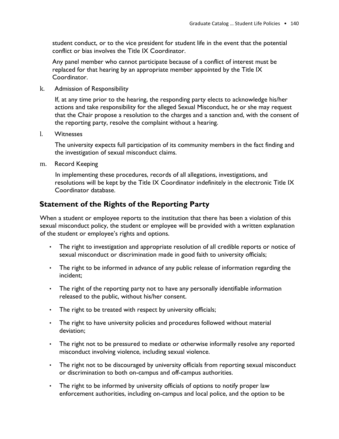student conduct, or to the vice president for student life in the event that the potential conflict or bias involves the Title IX Coordinator.

Any panel member who cannot participate because of a conflict of interest must be replaced for that hearing by an appropriate member appointed by the Title IX Coordinator.

k. Admission of Responsibility

If, at any time prior to the hearing, the responding party elects to acknowledge his/her actions and take responsibility for the alleged Sexual Misconduct, he or she may request that the Chair propose a resolution to the charges and a sanction and, with the consent of the reporting party, resolve the complaint without a hearing.

l. Witnesses

The university expects full participation of its community members in the fact finding and the investigation of sexual misconduct claims.

m. Record Keeping

In implementing these procedures, records of all allegations, investigations, and resolutions will be kept by the Title IX Coordinator indefinitely in the electronic Title IX Coordinator database.

## **Statement of the Rights of the Reporting Party**

When a student or employee reports to the institution that there has been a violation of this sexual misconduct policy, the student or employee will be provided with a written explanation of the student or employee's rights and options.

- The right to investigation and appropriate resolution of all credible reports or notice of sexual misconduct or discrimination made in good faith to university officials;
- The right to be informed in advance of any public release of information regarding the incident;
- The right of the reporting party not to have any personally identifiable information released to the public, without his/her consent.
- The right to be treated with respect by university officials;
- The right to have university policies and procedures followed without material deviation;
- The right not to be pressured to mediate or otherwise informally resolve any reported misconduct involving violence, including sexual violence.
- The right not to be discouraged by university officials from reporting sexual misconduct or discrimination to both on-campus and off-campus authorities.
- The right to be informed by university officials of options to notify proper law enforcement authorities, including on-campus and local police, and the option to be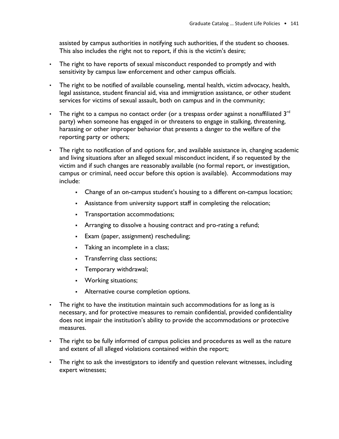assisted by campus authorities in notifying such authorities, if the student so chooses. This also includes the right not to report, if this is the victim's desire;

- The right to have reports of sexual misconduct responded to promptly and with sensitivity by campus law enforcement and other campus officials.
- The right to be notified of available counseling, mental health, victim advocacy, health, legal assistance, student financial aid, visa and immigration assistance, or other student services for victims of sexual assault, both on campus and in the community;
- The right to a campus no contact order (or a trespass order against a nonaffiliated  $3<sup>rd</sup>$ party) when someone has engaged in or threatens to engage in stalking, threatening, harassing or other improper behavior that presents a danger to the welfare of the reporting party or others;
- The right to notification of and options for, and available assistance in, changing academic and living situations after an alleged sexual misconduct incident, if so requested by the victim and if such changes are reasonably available (no formal report, or investigation, campus or criminal, need occur before this option is available). Accommodations may include:
	- Change of an on-campus student's housing to a different on-campus location;
	- **•** Assistance from university support staff in completing the relocation;
	- Transportation accommodations;
	- **•** Arranging to dissolve a housing contract and pro-rating a refund;
	- Exam (paper, assignment) rescheduling;
	- **•** Taking an incomplete in a class;
	- Transferring class sections;
	- Temporary withdrawal;
	- Working situations;
	- Alternative course completion options.
- The right to have the institution maintain such accommodations for as long as is necessary, and for protective measures to remain confidential, provided confidentiality does not impair the institution's ability to provide the accommodations or protective measures.
- The right to be fully informed of campus policies and procedures as well as the nature and extent of all alleged violations contained within the report;
- The right to ask the investigators to identify and question relevant witnesses, including expert witnesses;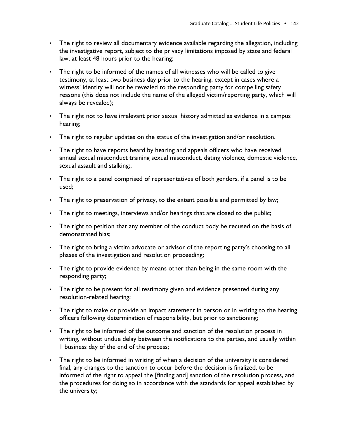- The right to review all documentary evidence available regarding the allegation, including the investigative report, subject to the privacy limitations imposed by state and federal law, at least 48 hours prior to the hearing;
- The right to be informed of the names of all witnesses who will be called to give testimony, at least two business day prior to the hearing, except in cases where a witness' identity will not be revealed to the responding party for compelling safety reasons (this does not include the name of the alleged victim/reporting party, which will always be revealed);
- The right not to have irrelevant prior sexual history admitted as evidence in a campus hearing;
- The right to regular updates on the status of the investigation and/or resolution.
- The right to have reports heard by hearing and appeals officers who have received annual sexual misconduct training sexual misconduct, dating violence, domestic violence, sexual assault and stalking;;
- The right to a panel comprised of representatives of both genders, if a panel is to be used;
- The right to preservation of privacy, to the extent possible and permitted by law;
- The right to meetings, interviews and/or hearings that are closed to the public;
- The right to petition that any member of the conduct body be recused on the basis of demonstrated bias;
- The right to bring a victim advocate or advisor of the reporting party's choosing to all phases of the investigation and resolution proceeding;
- The right to provide evidence by means other than being in the same room with the responding party;
- The right to be present for all testimony given and evidence presented during any resolution-related hearing;
- The right to make or provide an impact statement in person or in writing to the hearing officers following determination of responsibility, but prior to sanctioning;
- The right to be informed of the outcome and sanction of the resolution process in writing, without undue delay between the notifications to the parties, and usually within 1 business day of the end of the process;
- The right to be informed in writing of when a decision of the university is considered final, any changes to the sanction to occur before the decision is finalized, to be informed of the right to appeal the [finding and] sanction of the resolution process, and the procedures for doing so in accordance with the standards for appeal established by the university;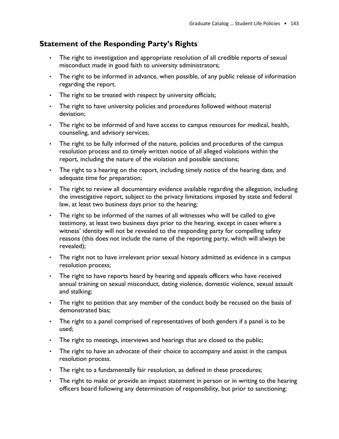## **Statement of the Responding Party's Rights**

- The right to investigation and appropriate resolution of all credible reports of sexual misconduct made in good faith to university administrators;
- The right to be informed in advance, when possible, of any public release of information regarding the report.
- The right to be treated with respect by university officials;
- The right to have university policies and procedures followed without material deviation;
- The right to be informed of and have access to campus resources for medical, health, counseling, and advisory services;
- The right to be fully informed of the nature, policies and procedures of the campus resolution process and to timely written notice of all alleged violations within the report, including the nature of the violation and possible sanctions;
- The right to a hearing on the report, including timely notice of the hearing date, and adequate time for preparation;
- The right to review all documentary evidence available regarding the allegation, including the investigative report, subject to the privacy limitations imposed by state and federal law, at least two business days prior to the hearing;
- The right to be informed of the names of all witnesses who will be called to give testimony, at least two business days prior to the hearing, except in cases where a witness' identity will not be revealed to the responding party for compelling safety reasons (this does not include the name of the reporting party, which will always be revealed);
- The right not to have irrelevant prior sexual history admitted as evidence in a campus resolution process;
- The right to have reports heard by hearing and appeals officers who have received annual training on sexual misconduct, dating violence, domestic violence, sexual assault and stalking;
- The right to petition that any member of the conduct body be recused on the basis of demonstrated bias;
- The right to a panel comprised of representatives of both genders if a panel is to be used;
- The right to meetings, interviews and hearings that are closed to the public;
- The right to have an advocate of their choice to accompany and assist in the campus resolution process.
- The right to a fundamentally fair resolution, as defined in these procedures;
- The right to make or provide an impact statement in person or in writing to the hearing officers board following any determination of responsibility, but prior to sanctioning;